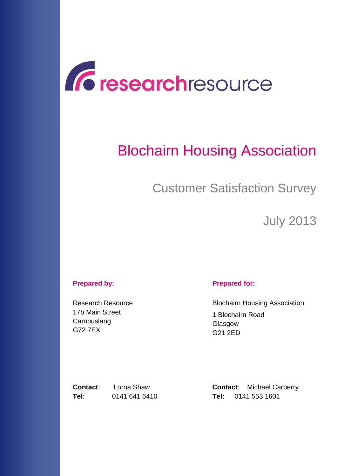

# Blochairn Housing Association

Customer Satisfaction Survey

July 2013

#### **Prepared by: Prepared for:**

Research Resource 17b Main Street **Cambuslang** G72 7EX

Blochairn Housing Association 1 Blochairn Road Glasgow G21 2ED

**Tel**: 0141 641 6410 **Tel:** 0141 553 1601

**Contact:** Lorna Shaw **Contact:** Michael Carberry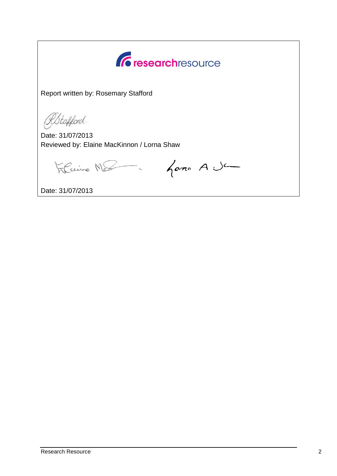*<u>C* researchresource</u>

Report written by: Rosemary Stafford

RStafford.

Date: 31/07/2013 Reviewed by: Elaine MacKinnon / Lorna Shaw

Flaire Mes - Gome A Ja

Date: 31/07/2013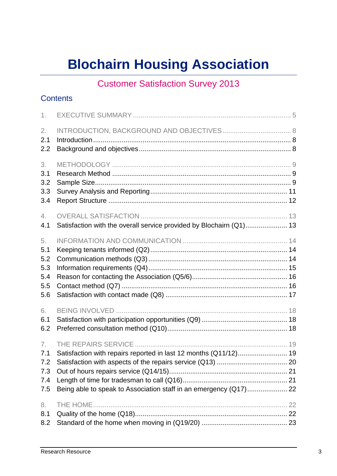# **Blochairn Housing Association**

# Customer Satisfaction Survey 2013

### **Contents**

| 1.                                           |                                                                                                                                       |  |
|----------------------------------------------|---------------------------------------------------------------------------------------------------------------------------------------|--|
| 2.<br>2.1<br>2.2                             |                                                                                                                                       |  |
| 3.<br>3.1<br>3.2<br>3.3<br>3.4               |                                                                                                                                       |  |
| 4.<br>4.1                                    | Satisfaction with the overall service provided by Blochairn (Q1) 13                                                                   |  |
| 5.<br>5.1<br>5.2<br>5.3<br>5.4<br>5.5<br>5.6 |                                                                                                                                       |  |
| 6.<br>6.1<br>6.2                             |                                                                                                                                       |  |
| 7.<br>7.1<br>7.2<br>7.3<br>7.4<br>7.5        | Satisfaction with repairs reported in last 12 months (Q11/12) 19<br>Being able to speak to Association staff in an emergency (Q17) 22 |  |
| 8.<br>8.1<br>8.2                             |                                                                                                                                       |  |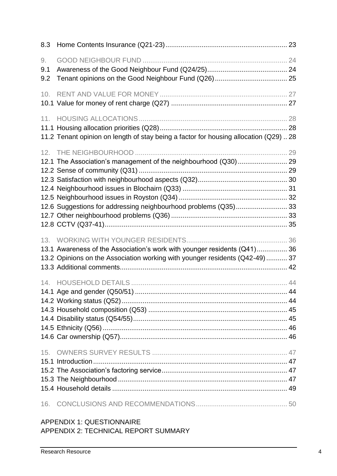| 8.3 |                                                                                       |  |
|-----|---------------------------------------------------------------------------------------|--|
| 9.  |                                                                                       |  |
| 9.1 |                                                                                       |  |
| 9.2 |                                                                                       |  |
| 10. |                                                                                       |  |
|     |                                                                                       |  |
| 11. |                                                                                       |  |
|     |                                                                                       |  |
|     | 11.2 Tenant opinion on length of stay being a factor for housing allocation (Q29)  28 |  |
|     |                                                                                       |  |
|     | 12.1 The Association's management of the neighbourhood (Q30) 29                       |  |
|     |                                                                                       |  |
|     |                                                                                       |  |
|     |                                                                                       |  |
|     |                                                                                       |  |
|     | 12.6 Suggestions for addressing neighbourhood problems (Q35) 33                       |  |
|     |                                                                                       |  |
|     |                                                                                       |  |
|     |                                                                                       |  |
|     | 13.1 Awareness of the Association's work with younger residents (Q41) 36              |  |
|     | 13.2 Opinions on the Association working with younger residents (Q42-49)  37          |  |
|     |                                                                                       |  |
|     |                                                                                       |  |
|     |                                                                                       |  |
|     |                                                                                       |  |
|     |                                                                                       |  |
|     |                                                                                       |  |
|     |                                                                                       |  |
|     |                                                                                       |  |
| 15. |                                                                                       |  |
|     |                                                                                       |  |
|     |                                                                                       |  |
|     |                                                                                       |  |
|     |                                                                                       |  |
|     |                                                                                       |  |

### APPENDIX 1: QUESTIONNAIRE APPENDIX 2: TECHNICAL REPORT SUMMARY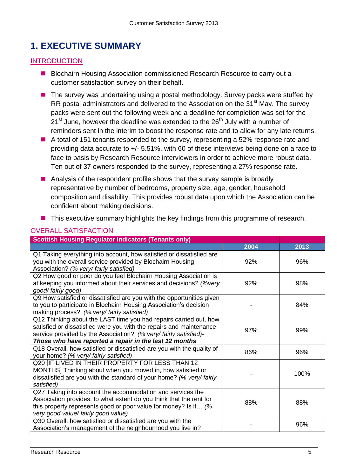# <span id="page-4-0"></span>**1. EXECUTIVE SUMMARY**

#### **INTRODUCTION**

- Blochairn Housing Association commissioned Research Resource to carry out a customer satisfaction survey on their behalf.
- The survey was undertaking using a postal methodology. Survey packs were stuffed by RR postal administrators and delivered to the Association on the  $31<sup>st</sup>$  May. The survey packs were sent out the following week and a deadline for completion was set for the  $21<sup>st</sup>$  June, however the deadline was extended to the  $26<sup>th</sup>$  July with a number of reminders sent in the interim to boost the response rate and to allow for any late returns.
- A total of 151 tenants responded to the survey, representing a 52% response rate and providing data accurate to +/- 5.51%, with 60 of these interviews being done on a face to face to basis by Research Resource interviewers in order to achieve more robust data. Ten out of 37 owners responded to the survey, representing a 27% response rate.
- Analysis of the respondent profile shows that the survey sample is broadly representative by number of bedrooms, property size, age, gender, household composition and disability. This provides robust data upon which the Association can be confident about making decisions.
- This executive summary highlights the key findings from this programme of research.

| <b>Scottish Housing Regulator indicators (Tenants only)</b>                                                                                                                                                                                                           |      |      |  |
|-----------------------------------------------------------------------------------------------------------------------------------------------------------------------------------------------------------------------------------------------------------------------|------|------|--|
|                                                                                                                                                                                                                                                                       | 2004 | 2013 |  |
| Q1 Taking everything into account, how satisfied or dissatisfied are<br>you with the overall service provided by Blochairn Housing<br>Association? (% very/ fairly satisfied)                                                                                         | 92%  | 96%  |  |
| Q2 How good or poor do you feel Blochairn Housing Association is<br>at keeping you informed about their services and decisions? (%very<br>good/fairly good)                                                                                                           | 92%  | 98%  |  |
| Q9 How satisfied or dissatisfied are you with the opportunities given<br>to you to participate in Blochairn Housing Association's decision<br>making process? (% very/ fairly satisfied)                                                                              |      | 84%  |  |
| Q12 Thinking about the LAST time you had repairs carried out, how<br>satisfied or dissatisfied were you with the repairs and maintenance<br>service provided by the Association? (% very/fairly satisfied)-<br>Those who have reported a repair in the last 12 months | 97%  | 99%  |  |
| Q18 Overall, how satisfied or dissatisfied are you with the quality of<br>your home? (% very/ fairly satisfied)                                                                                                                                                       | 86%  | 96%  |  |
| Q20 [IF LIVED IN THEIR PROPERTY FOR LESS THAN 12<br>MONTHS] Thinking about when you moved in, how satisfied or<br>dissatisfied are you with the standard of your home? (% very/fairly<br>satisfied)                                                                   |      | 100% |  |
| Q27 Taking into account the accommodation and services the<br>Association provides, to what extent do you think that the rent for<br>this property represents good or poor value for money? Is it (%<br>very good value/ fairly good value)                           | 88%  | 88%  |  |
| Q30 Overall, how satisfied or dissatisfied are you with the<br>Association's management of the neighbourhood you live in?                                                                                                                                             |      | 96%  |  |

#### OVERALL SATISFACTION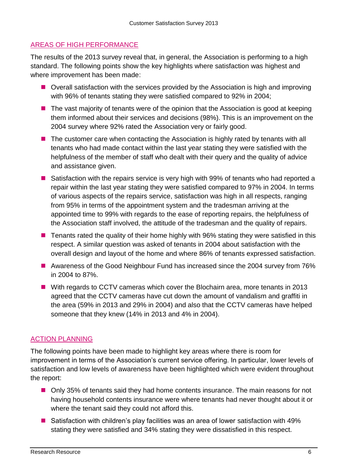#### AREAS OF HIGH PERFORMANCE

The results of the 2013 survey reveal that, in general, the Association is performing to a high standard. The following points show the key highlights where satisfaction was highest and where improvement has been made:

- Overall satisfaction with the services provided by the Association is high and improving with 96% of tenants stating they were satisfied compared to 92% in 2004;
- $\blacksquare$  The vast majority of tenants were of the opinion that the Association is good at keeping them informed about their services and decisions (98%). This is an improvement on the 2004 survey where 92% rated the Association very or fairly good.
- The customer care when contacting the Association is highly rated by tenants with all tenants who had made contact within the last year stating they were satisfied with the helpfulness of the member of staff who dealt with their query and the quality of advice and assistance given.
- Satisfaction with the repairs service is very high with 99% of tenants who had reported a repair within the last year stating they were satisfied compared to 97% in 2004. In terms of various aspects of the repairs service, satisfaction was high in all respects, ranging from 95% in terms of the appointment system and the tradesman arriving at the appointed time to 99% with regards to the ease of reporting repairs, the helpfulness of the Association staff involved, the attitude of the tradesman and the quality of repairs.
- Tenants rated the quality of their home highly with 96% stating they were satisfied in this respect. A similar question was asked of tenants in 2004 about satisfaction with the overall design and layout of the home and where 86% of tenants expressed satisfaction.
- Awareness of the Good Neighbour Fund has increased since the 2004 survey from 76% in 2004 to 87%.
- With regards to CCTV cameras which cover the Blochairn area, more tenants in 2013 agreed that the CCTV cameras have cut down the amount of vandalism and graffiti in the area (59% in 2013 and 29% in 2004) and also that the CCTV cameras have helped someone that they knew (14% in 2013 and 4% in 2004).

#### ACTION PLANNING

The following points have been made to highlight key areas where there is room for improvement in terms of the Association's current service offering. In particular, lower levels of satisfaction and low levels of awareness have been highlighted which were evident throughout the report:

- Only 35% of tenants said they had home contents insurance. The main reasons for not having household contents insurance were where tenants had never thought about it or where the tenant said they could not afford this.
- Satisfaction with children's play facilities was an area of lower satisfaction with 49% stating they were satisfied and 34% stating they were dissatisfied in this respect.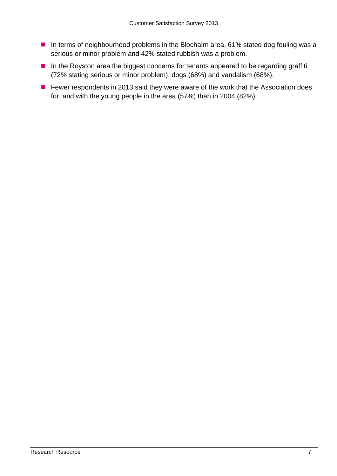- In terms of neighbourhood problems in the Blochairn area, 61% stated dog fouling was a serious or minor problem and 42% stated rubbish was a problem.
- In the Royston area the biggest concerns for tenants appeared to be regarding graffiti (72% stating serious or minor problem), dogs (68%) and vandalism (68%).
- Fewer respondents in 2013 said they were aware of the work that the Association does for, and with the young people in the area (57%) than in 2004 (82%).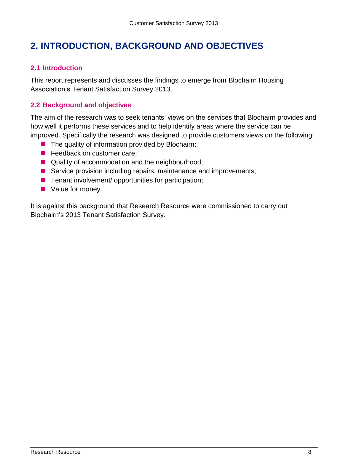# <span id="page-7-0"></span>**2. INTRODUCTION, BACKGROUND AND OBJECTIVES**

#### <span id="page-7-1"></span>**2.1 Introduction**

This report represents and discusses the findings to emerge from Blochairn Housing Association's Tenant Satisfaction Survey 2013.

#### <span id="page-7-2"></span>**2.2 Background and objectives**

The aim of the research was to seek tenants' views on the services that Blochairn provides and how well it performs these services and to help identify areas where the service can be improved. Specifically the research was designed to provide customers views on the following:

- $\blacksquare$  The quality of information provided by Blochairn;
- Feedback on customer care;
- Quality of accommodation and the neighbourhood;
- Service provision including repairs, maintenance and improvements;
- $\blacksquare$  Tenant involvement/ opportunities for participation;
- Value for money.

It is against this background that Research Resource were commissioned to carry out Blochairn's 2013 Tenant Satisfaction Survey.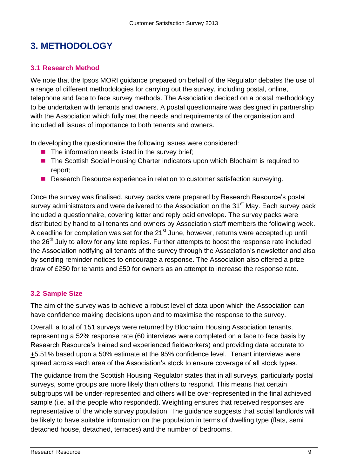# <span id="page-8-0"></span>**3. METHODOLOGY**

#### <span id="page-8-1"></span>**3.1 Research Method**

We note that the Ipsos MORI guidance prepared on behalf of the Regulator debates the use of a range of different methodologies for carrying out the survey, including postal, online, telephone and face to face survey methods. The Association decided on a postal methodology to be undertaken with tenants and owners. A postal questionnaire was designed in partnership with the Association which fully met the needs and requirements of the organisation and included all issues of importance to both tenants and owners.

In developing the questionnaire the following issues were considered:

- $\blacksquare$  The information needs listed in the survey brief;
- The Scottish Social Housing Charter indicators upon which Blochairn is required to report;
- **Research Resource experience in relation to customer satisfaction surveying.**

Once the survey was finalised, survey packs were prepared by Research Resource's postal survey administrators and were delivered to the Association on the 31<sup>st</sup> May. Each survey pack included a questionnaire, covering letter and reply paid envelope. The survey packs were distributed by hand to all tenants and owners by Association staff members the following week. A deadline for completion was set for the  $21<sup>st</sup>$  June, however, returns were accepted up until the 26<sup>th</sup> July to allow for any late replies. Further attempts to boost the response rate included the Association notifying all tenants of the survey through the Association's newsletter and also by sending reminder notices to encourage a response. The Association also offered a prize draw of £250 for tenants and £50 for owners as an attempt to increase the response rate.

#### <span id="page-8-2"></span>**3.2 Sample Size**

The aim of the survey was to achieve a robust level of data upon which the Association can have confidence making decisions upon and to maximise the response to the survey.

Overall, a total of 151 surveys were returned by Blochairn Housing Association tenants, representing a 52% response rate (60 interviews were completed on a face to face basis by Research Resource's trained and experienced fieldworkers) and providing data accurate to +5.51% based upon a 50% estimate at the 95% confidence level. Tenant interviews were spread across each area of the Association's stock to ensure coverage of all stock types.

The guidance from the Scottish Housing Regulator states that in all surveys, particularly postal surveys, some groups are more likely than others to respond. This means that certain subgroups will be under-represented and others will be over-represented in the final achieved sample (i.e. all the people who responded). Weighting ensures that received responses are representative of the whole survey population. The guidance suggests that social landlords will be likely to have suitable information on the population in terms of dwelling type (flats, semi detached house, detached, terraces) and the number of bedrooms.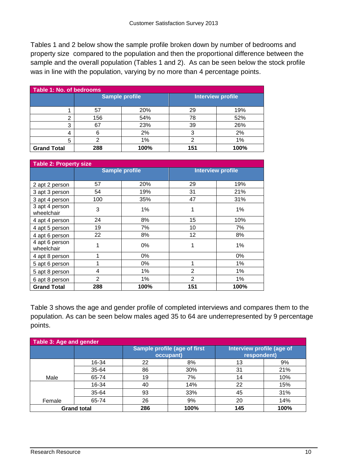Tables 1 and 2 below show the sample profile broken down by number of bedrooms and property size compared to the population and then the proportional difference between the sample and the overall population (Tables 1 and 2). As can be seen below the stock profile was in line with the population, varying by no more than 4 percentage points.

| Table 1: No. of bedrooms |                       |      |                   |      |  |  |
|--------------------------|-----------------------|------|-------------------|------|--|--|
|                          | <b>Sample profile</b> |      | Interview profile |      |  |  |
|                          |                       |      |                   |      |  |  |
|                          | 57                    | 20%  | 29                | 19%  |  |  |
| σ                        | 156                   | 54%  | 78                | 52%  |  |  |
| 3                        | 67                    | 23%  | 39                | 26%  |  |  |
| 4                        |                       | 2%   |                   | 2%   |  |  |
| 5                        |                       | 1%   |                   | 1%   |  |  |
| <b>Grand Total</b>       | 288                   | 100% | 151               | 100% |  |  |

| <b>Table 2: Property size</b> |                       |       |                          |      |  |
|-------------------------------|-----------------------|-------|--------------------------|------|--|
|                               | <b>Sample profile</b> |       | <b>Interview profile</b> |      |  |
|                               |                       |       |                          |      |  |
| 2 apt 2 person                | 57                    | 20%   | 29                       | 19%  |  |
| 3 apt 3 person                | 54                    | 19%   | 31                       | 21%  |  |
| 3 apt 4 person                | 100                   | 35%   | 47                       | 31%  |  |
| 3 apt 4 person<br>wheelchair  | 3                     | 1%    | 1                        | 1%   |  |
| 4 apt 4 person                | 24                    | 8%    | 15                       | 10%  |  |
| 4 apt 5 person                | 19                    | 7%    | 10                       | 7%   |  |
| 4 apt 6 person                | 22                    | 8%    | 12                       | 8%   |  |
| 4 apt 6 person<br>wheelchair  | 1                     | 0%    | 1                        | 1%   |  |
| 4 apt 8 person                | 1                     | $0\%$ |                          | 0%   |  |
| 5 apt 6 person                | 1                     | 0%    | 1                        | 1%   |  |
| 5 apt 8 person                | 4                     | 1%    | 2                        | 1%   |  |
| 6 apt 8 person                | $\overline{2}$        | 1%    | $\overline{2}$           | 1%   |  |
| <b>Grand Total</b>            | 288                   | 100%  | 151                      | 100% |  |

Table 3 shows the age and gender profile of completed interviews and compares them to the population. As can be seen below males aged 35 to 64 are underrepresented by 9 percentage points.

| Table 3: Age and gender |       |                                           |      |                                                 |      |  |
|-------------------------|-------|-------------------------------------------|------|-------------------------------------------------|------|--|
|                         |       | Sample profile (age of first<br>occupant) |      | <b>Interview profile (age of</b><br>respondent) |      |  |
|                         | 16-34 | 22                                        | 8%   | 13                                              | 9%   |  |
|                         | 35-64 | 86                                        | 30%  | 31                                              | 21%  |  |
| Male                    | 65-74 | 19                                        | 7%   | 14                                              | 10%  |  |
|                         | 16-34 | 40                                        | 14%  | 22                                              | 15%  |  |
|                         | 35-64 | 93                                        | 33%  | 45                                              | 31%  |  |
| Female                  | 65-74 | 26                                        | 9%   | 20                                              | 14%  |  |
| <b>Grand total</b>      |       | 286                                       | 100% | 145                                             | 100% |  |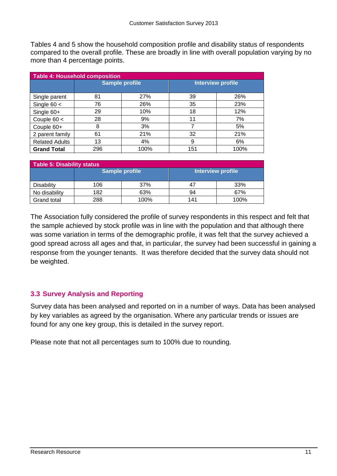Tables 4 and 5 show the household composition profile and disability status of respondents compared to the overall profile. These are broadly in line with overall population varying by no more than 4 percentage points.

| <b>Table 4: Household composition</b> |                       |            |                          |      |  |  |
|---------------------------------------|-----------------------|------------|--------------------------|------|--|--|
|                                       | <b>Sample profile</b> |            | <b>Interview profile</b> |      |  |  |
| Single parent                         | 81                    | <b>27%</b> | 39                       | 26%  |  |  |
| Single $60 <$                         | 76                    | 26%        | 35                       | 23%  |  |  |
| Single 60+                            | 29                    | 10%        | 18                       | 12%  |  |  |
| Couple $60 <$                         | 28                    | 9%         | 11                       | 7%   |  |  |
| Couple 60+                            | 8                     | 3%         |                          | 5%   |  |  |
| 2 parent family                       | 61                    | 21%        | 32                       | 21%  |  |  |
| <b>Related Adults</b>                 | 13                    | 4%         | 9                        | 6%   |  |  |
| <b>Grand Total</b>                    | 296                   | 100%       | 151                      | 100% |  |  |

| Table 5: Disability status |     |                       |                   |      |  |
|----------------------------|-----|-----------------------|-------------------|------|--|
|                            |     | <b>Sample profile</b> | Interview profile |      |  |
| <b>Disability</b>          | 106 | 37%                   | 47                | 33%  |  |
| No disability              | 182 | 63%                   | 94                | 67%  |  |
| <b>Grand total</b>         | 288 | 100%                  | 141               | 100% |  |

The Association fully considered the profile of survey respondents in this respect and felt that the sample achieved by stock profile was in line with the population and that although there was some variation in terms of the demographic profile, it was felt that the survey achieved a good spread across all ages and that, in particular, the survey had been successful in gaining a response from the younger tenants. It was therefore decided that the survey data should not be weighted.

#### <span id="page-10-0"></span>**3.3 Survey Analysis and Reporting**

Survey data has been analysed and reported on in a number of ways. Data has been analysed by key variables as agreed by the organisation. Where any particular trends or issues are found for any one key group, this is detailed in the survey report.

Please note that not all percentages sum to 100% due to rounding.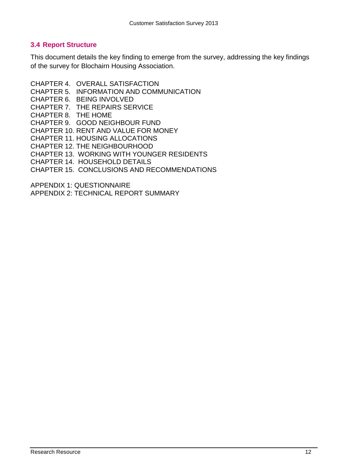#### <span id="page-11-0"></span>**3.4 Report Structure**

This document details the key finding to emerge from the survey, addressing the key findings of the survey for Blochairn Housing Association.

- CHAPTER 4. OVERALL SATISFACTION
- CHAPTER 5. INFORMATION AND COMMUNICATION
- CHAPTER 6. BEING INVOLVED

CHAPTER 7. THE REPAIRS SERVICE

CHAPTER 8. THE HOME

CHAPTER 9. GOOD NEIGHBOUR FUND

- CHAPTER 10. RENT AND VALUE FOR MONEY
- CHAPTER 11. HOUSING ALLOCATIONS
- CHAPTER 12. THE NEIGHBOURHOOD

CHAPTER 13. WORKING WITH YOUNGER RESIDENTS

CHAPTER 14. HOUSEHOLD DETAILS

CHAPTER 15. CONCLUSIONS AND RECOMMENDATIONS

APPENDIX 1: QUESTIONNAIRE

APPENDIX 2: TECHNICAL REPORT SUMMARY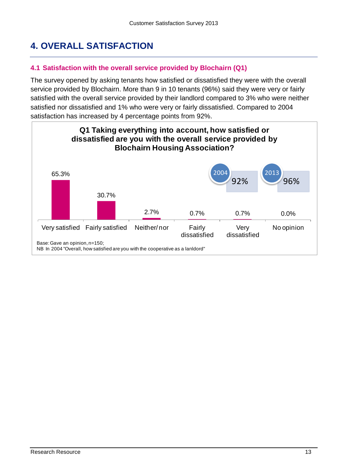# <span id="page-12-0"></span>**4. OVERALL SATISFACTION**

#### <span id="page-12-1"></span>**4.1 Satisfaction with the overall service provided by Blochairn (Q1)**

The survey opened by asking tenants how satisfied or dissatisfied they were with the overall service provided by Blochairn. More than 9 in 10 tenants (96%) said they were very or fairly satisfied with the overall service provided by their landlord compared to 3% who were neither satisfied nor dissatisfied and 1% who were very or fairly dissatisfied. Compared to 2004 satisfaction has increased by 4 percentage points from 92%.

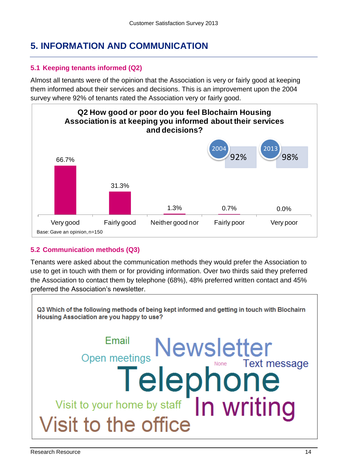# <span id="page-13-0"></span>**5. INFORMATION AND COMMUNICATION**

#### <span id="page-13-1"></span>**5.1 Keeping tenants informed (Q2)**

Almost all tenants were of the opinion that the Association is very or fairly good at keeping them informed about their services and decisions. This is an improvement upon the 2004 survey where 92% of tenants rated the Association very or fairly good.



#### <span id="page-13-2"></span>**5.2 Communication methods (Q3)**

Tenants were asked about the communication methods they would prefer the Association to use to get in touch with them or for providing information. Over two thirds said they preferred the Association to contact them by telephone (68%), 48% preferred written contact and 45% preferred the Association's newsletter.

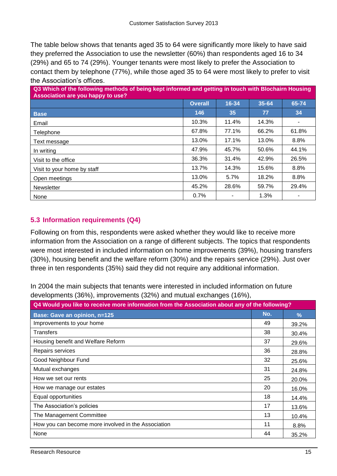The table below shows that tenants aged 35 to 64 were significantly more likely to have said they preferred the Association to use the newsletter (60%) than respondents aged 16 to 34 (29%) and 65 to 74 (29%). Younger tenants were most likely to prefer the Association to contact them by telephone (77%), while those aged 35 to 64 were most likely to prefer to visit the Association's offices.

| Q3 Which of the following methods of being kept informed and getting in touch with Blochairn Housing<br>Association are you happy to use? |                |       |       |                |
|-------------------------------------------------------------------------------------------------------------------------------------------|----------------|-------|-------|----------------|
|                                                                                                                                           | <b>Overall</b> | 16-34 | 35-64 | 65-74          |
| <b>Base</b>                                                                                                                               | 146            | 35    | 77    | 34             |
| Email                                                                                                                                     | 10.3%          | 11.4% | 14.3% | $\blacksquare$ |
| Telephone                                                                                                                                 | 67.8%          | 77.1% | 66.2% | 61.8%          |
| Text message                                                                                                                              | 13.0%          | 17.1% | 13.0% | 8.8%           |
| In writing                                                                                                                                | 47.9%          | 45.7% | 50.6% | 44.1%          |
| Visit to the office                                                                                                                       | 36.3%          | 31.4% | 42.9% | 26.5%          |
| Visit to your home by staff                                                                                                               | 13.7%          | 14.3% | 15.6% | 8.8%           |
| Open meetings                                                                                                                             | 13.0%          | 5.7%  | 18.2% | 8.8%           |
| Newsletter                                                                                                                                | 45.2%          | 28.6% | 59.7% | 29.4%          |
| None                                                                                                                                      | 0.7%           |       | 1.3%  |                |

#### <span id="page-14-0"></span>**5.3 Information requirements (Q4)**

Following on from this, respondents were asked whether they would like to receive more information from the Association on a range of different subjects. The topics that respondents were most interested in included information on home improvements (39%), housing transfers (30%), housing benefit and the welfare reform (30%) and the repairs service (29%). Just over three in ten respondents (35%) said they did not require any additional information.

In 2004 the main subjects that tenants were interested in included information on future developments (36%), improvements (32%) and mutual exchanges (16%),

| Q4 Would you like to receive more information from the Association about any of the following? |     |               |  |
|------------------------------------------------------------------------------------------------|-----|---------------|--|
| <b>Base: Gave an opinion, n=125</b>                                                            | No. | $\frac{9}{6}$ |  |
| Improvements to your home                                                                      | 49  | 39.2%         |  |
| Transfers                                                                                      | 38  | 30.4%         |  |
| Housing benefit and Welfare Reform                                                             | 37  | 29.6%         |  |
| Repairs services                                                                               | 36  | 28.8%         |  |
| Good Neighbour Fund                                                                            | 32  | 25.6%         |  |
| Mutual exchanges                                                                               | 31  | 24.8%         |  |
| How we set our rents                                                                           | 25  | 20.0%         |  |
| How we manage our estates                                                                      | 20  | 16.0%         |  |
| Equal opportunities                                                                            | 18  | 14.4%         |  |
| The Association's policies                                                                     | 17  | 13.6%         |  |
| The Management Committee                                                                       | 13  | 10.4%         |  |
| How you can become more involved in the Association                                            | 11  | 8.8%          |  |
| None                                                                                           | 44  | 35.2%         |  |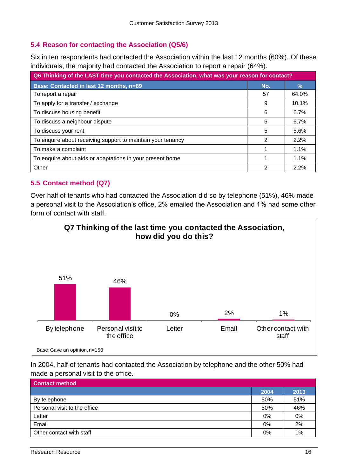#### <span id="page-15-0"></span>**5.4 Reason for contacting the Association (Q5/6)**

Six in ten respondents had contacted the Association within the last 12 months (60%). Of these individuals, the majority had contacted the Association to report a repair (64%).

| Q6 Thinking of the LAST time you contacted the Association, what was your reason for contact? |     |               |  |
|-----------------------------------------------------------------------------------------------|-----|---------------|--|
| Base: Contacted in last 12 months, n=89                                                       | No. | $\frac{9}{6}$ |  |
| To report a repair                                                                            | 57  | 64.0%         |  |
| To apply for a transfer / exchange                                                            | 9   | 10.1%         |  |
| To discuss housing benefit                                                                    | 6   | 6.7%          |  |
| To discuss a neighbour dispute                                                                | 6   | 6.7%          |  |
| To discuss your rent                                                                          | 5   | 5.6%          |  |
| To enquire about receiving support to maintain your tenancy                                   | 2   | 2.2%          |  |
| To make a complaint                                                                           |     | 1.1%          |  |
| To enquire about aids or adaptations in your present home                                     |     | 1.1%          |  |
| Other                                                                                         | 2   | 2.2%          |  |

#### <span id="page-15-1"></span>**5.5 Contact method (Q7)**

Over half of tenants who had contacted the Association did so by telephone (51%), 46% made a personal visit to the Association's office, 2% emailed the Association and 1% had some other form of contact with staff.



In 2004, half of tenants had contacted the Association by telephone and the other 50% had made a personal visit to the office.

| <b>Contact method</b>        |       |       |
|------------------------------|-------|-------|
|                              | 2004  | 2013  |
| By telephone                 | 50%   | 51%   |
| Personal visit to the office | 50%   | 46%   |
| Letter                       | $0\%$ | 0%    |
| Email                        | $0\%$ | 2%    |
| Other contact with staff     | 0%    | $1\%$ |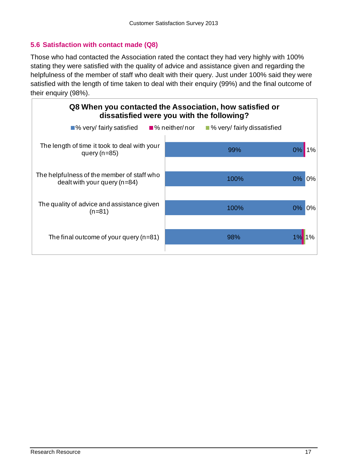#### <span id="page-16-0"></span>**5.6 Satisfaction with contact made (Q8)**

Those who had contacted the Association rated the contact they had very highly with 100% stating they were satisfied with the quality of advice and assistance given and regarding the helpfulness of the member of staff who dealt with their query. Just under 100% said they were satisfied with the length of time taken to deal with their enquiry (99%) and the final outcome of their enquiry (98%).

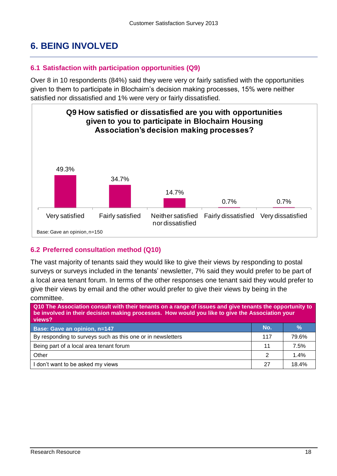# <span id="page-17-0"></span>**6. BEING INVOLVED**

#### <span id="page-17-1"></span>**6.1 Satisfaction with participation opportunities (Q9)**

Over 8 in 10 respondents (84%) said they were very or fairly satisfied with the opportunities given to them to participate in Blochairn's decision making processes, 15% were neither satisfied nor dissatisfied and 1% were very or fairly dissatisfied.



#### <span id="page-17-2"></span>**6.2 Preferred consultation method (Q10)**

The vast majority of tenants said they would like to give their views by responding to postal surveys or surveys included in the tenants' newsletter, 7% said they would prefer to be part of a local area tenant forum. In terms of the other responses one tenant said they would prefer to give their views by email and the other would prefer to give their views by being in the committee.

| Q10 The Association consult with their tenants on a range of issues and give tenants the opportunity to<br>be involved in their decision making processes. How would you like to give the Association your<br>views? |               |               |  |  |
|----------------------------------------------------------------------------------------------------------------------------------------------------------------------------------------------------------------------|---------------|---------------|--|--|
| Base: Gave an opinion, n=147                                                                                                                                                                                         | No.           | $\frac{9}{6}$ |  |  |
| By responding to surveys such as this one or in newsletters                                                                                                                                                          | 117           | 79.6%         |  |  |
| Being part of a local area tenant forum                                                                                                                                                                              | 11            | 7.5%          |  |  |
| Other                                                                                                                                                                                                                | $\mathcal{P}$ | 1.4%          |  |  |
| I don't want to be asked my views                                                                                                                                                                                    | 27            | 18.4%         |  |  |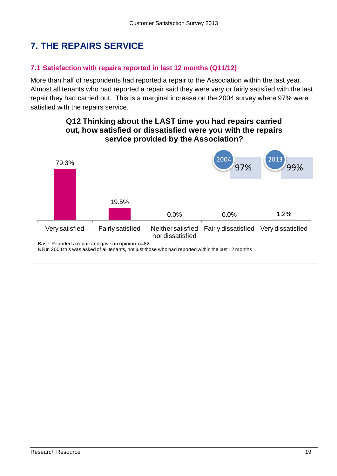# <span id="page-18-0"></span>**7. THE REPAIRS SERVICE**

#### <span id="page-18-1"></span>**7.1 Satisfaction with repairs reported in last 12 months (Q11/12)**

More than half of respondents had reported a repair to the Association within the last year. Almost all tenants who had reported a repair said they were very or fairly satisfied with the last repair they had carried out. This is a marginal increase on the 2004 survey where 97% were satisfied with the repairs service.

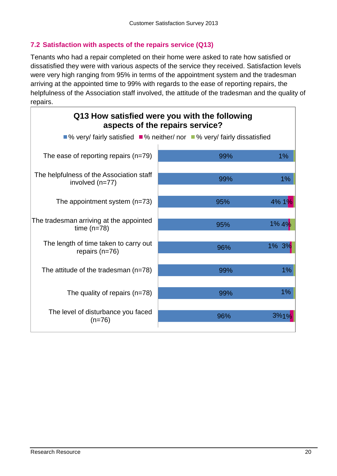#### <span id="page-19-0"></span>**7.2 Satisfaction with aspects of the repairs service (Q13)**

Tenants who had a repair completed on their home were asked to rate how satisfied or dissatisfied they were with various aspects of the service they received. Satisfaction levels were very high ranging from 95% in terms of the appointment system and the tradesman arriving at the appointed time to 99% with regards to the ease of reporting repairs, the helpfulness of the Association staff involved, the attitude of the tradesman and the quality of repairs.

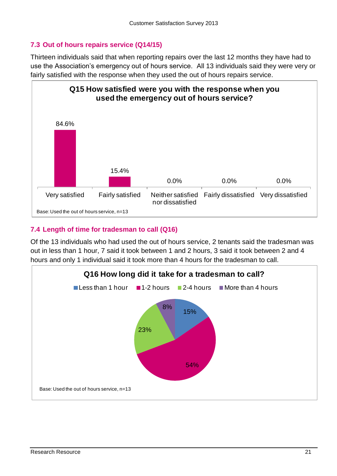#### <span id="page-20-0"></span>**7.3 Out of hours repairs service (Q14/15)**

Thirteen individuals said that when reporting repairs over the last 12 months they have had to use the Association's emergency out of hours service. All 13 individuals said they were very or fairly satisfied with the response when they used the out of hours repairs service.



#### <span id="page-20-1"></span>**7.4 Length of time for tradesman to call (Q16)**

Of the 13 individuals who had used the out of hours service, 2 tenants said the tradesman was out in less than 1 hour, 7 said it took between 1 and 2 hours, 3 said it took between 2 and 4 hours and only 1 individual said it took more than 4 hours for the tradesman to call.

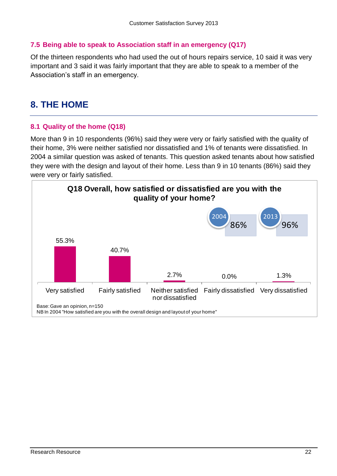#### <span id="page-21-0"></span>**7.5 Being able to speak to Association staff in an emergency (Q17)**

Of the thirteen respondents who had used the out of hours repairs service, 10 said it was very important and 3 said it was fairly important that they are able to speak to a member of the Association's staff in an emergency.

# <span id="page-21-1"></span>**8. THE HOME**

#### <span id="page-21-2"></span>**8.1 Quality of the home (Q18)**

More than 9 in 10 respondents (96%) said they were very or fairly satisfied with the quality of their home, 3% were neither satisfied nor dissatisfied and 1% of tenants were dissatisfied. In 2004 a similar question was asked of tenants. This question asked tenants about how satisfied they were with the design and layout of their home. Less than 9 in 10 tenants (86%) said they were very or fairly satisfied.

<span id="page-21-3"></span>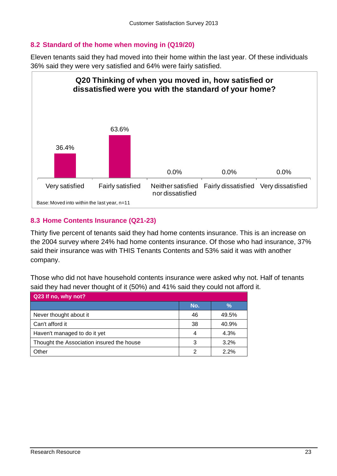#### **8.2 Standard of the home when moving in (Q19/20)**

Eleven tenants said they had moved into their home within the last year. Of these individuals 36% said they were very satisfied and 64% were fairly satisfied.



#### <span id="page-22-0"></span>**8.3 Home Contents Insurance (Q21-23)**

Thirty five percent of tenants said they had home contents insurance. This is an increase on the 2004 survey where 24% had home contents insurance. Of those who had insurance, 37% said their insurance was with THIS Tenants Contents and 53% said it was with another company.

Those who did not have household contents insurance were asked why not. Half of tenants said they had never thought of it (50%) and 41% said they could not afford it.

<span id="page-22-1"></span>

| Q23 If no, why not?                       |     |       |
|-------------------------------------------|-----|-------|
|                                           | No. | %     |
| Never thought about it                    | 46  | 49.5% |
| Can't afford it                           | 38  | 40.9% |
| Haven't managed to do it yet              | 4   | 4.3%  |
| Thought the Association insured the house | 3   | 3.2%  |
| Other                                     | っ   | 2.2%  |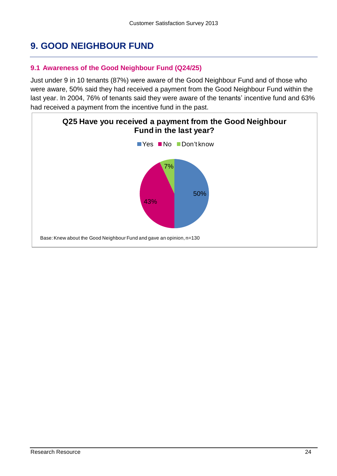# **9. GOOD NEIGHBOUR FUND**

#### <span id="page-23-0"></span>**9.1 Awareness of the Good Neighbour Fund (Q24/25)**

Just under 9 in 10 tenants (87%) were aware of the Good Neighbour Fund and of those who were aware, 50% said they had received a payment from the Good Neighbour Fund within the last year. In 2004, 76% of tenants said they were aware of the tenants' incentive fund and 63% had received a payment from the incentive fund in the past.

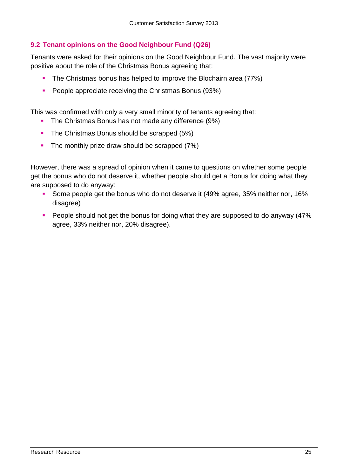#### <span id="page-24-0"></span>**9.2 Tenant opinions on the Good Neighbour Fund (Q26)**

Tenants were asked for their opinions on the Good Neighbour Fund. The vast majority were positive about the role of the Christmas Bonus agreeing that:

- The Christmas bonus has helped to improve the Blochairn area (77%)
- **People appreciate receiving the Christmas Bonus (93%)**

This was confirmed with only a very small minority of tenants agreeing that:

- **The Christmas Bonus has not made any difference (9%)**
- The Christmas Bonus should be scrapped (5%)
- $\blacksquare$  The monthly prize draw should be scrapped (7%)

However, there was a spread of opinion when it came to questions on whether some people get the bonus who do not deserve it, whether people should get a Bonus for doing what they are supposed to do anyway:

- Some people get the bonus who do not deserve it (49% agree, 35% neither nor, 16% disagree)
- **People should not get the bonus for doing what they are supposed to do anyway (47%** agree, 33% neither nor, 20% disagree).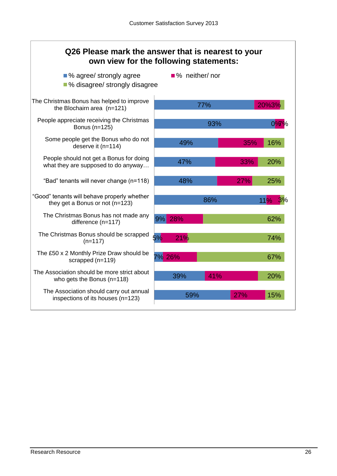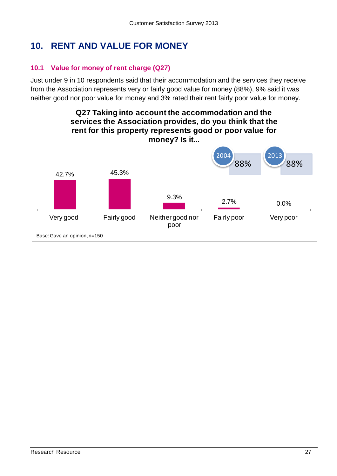# <span id="page-26-0"></span>**10. RENT AND VALUE FOR MONEY**

#### <span id="page-26-1"></span>**10.1 Value for money of rent charge (Q27)**

Just under 9 in 10 respondents said that their accommodation and the services they receive from the Association represents very or fairly good value for money (88%), 9% said it was neither good nor poor value for money and 3% rated their rent fairly poor value for money.

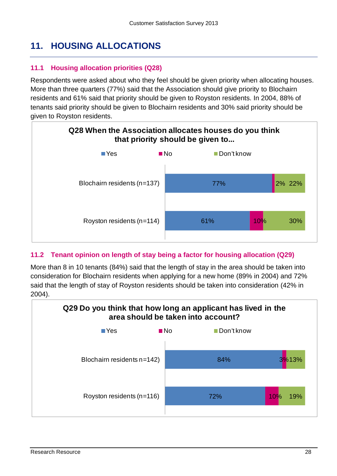# <span id="page-27-0"></span>**11. HOUSING ALLOCATIONS**

#### <span id="page-27-1"></span>**11.1 Housing allocation priorities (Q28)**

Respondents were asked about who they feel should be given priority when allocating houses. More than three quarters (77%) said that the Association should give priority to Blochairn residents and 61% said that priority should be given to Royston residents. In 2004, 88% of tenants said priority should be given to Blochairn residents and 30% said priority should be given to Royston residents.



#### <span id="page-27-2"></span>**11.2 Tenant opinion on length of stay being a factor for housing allocation (Q29)**

More than 8 in 10 tenants (84%) said that the length of stay in the area should be taken into consideration for Blochairn residents when applying for a new home (89% in 2004) and 72% said that the length of stay of Royston residents should be taken into consideration (42% in 2004).

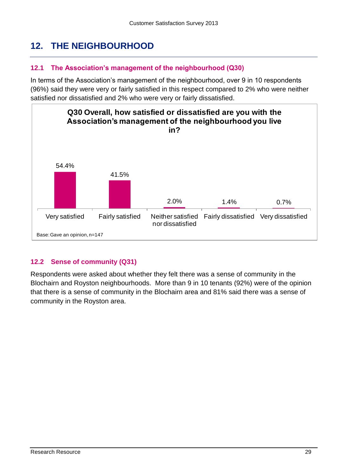# <span id="page-28-0"></span>**12. THE NEIGHBOURHOOD**

#### <span id="page-28-1"></span>**12.1 The Association's management of the neighbourhood (Q30)**

In terms of the Association's management of the neighbourhood, over 9 in 10 respondents (96%) said they were very or fairly satisfied in this respect compared to 2% who were neither satisfied nor dissatisfied and 2% who were very or fairly dissatisfied.



#### <span id="page-28-2"></span>**12.2 Sense of community (Q31)**

Respondents were asked about whether they felt there was a sense of community in the Blochairn and Royston neighbourhoods. More than 9 in 10 tenants (92%) were of the opinion that there is a sense of community in the Blochairn area and 81% said there was a sense of community in the Royston area.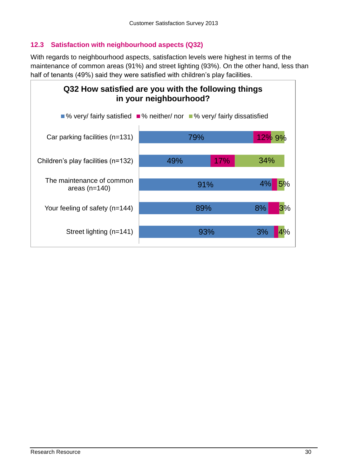#### <span id="page-29-0"></span>**12.3 Satisfaction with neighbourhood aspects (Q32)**

With regards to neighbourhood aspects, satisfaction levels were highest in terms of the maintenance of common areas (91%) and street lighting (93%). On the other hand, less than half of tenants (49%) said they were satisfied with children's play facilities.

<span id="page-29-1"></span>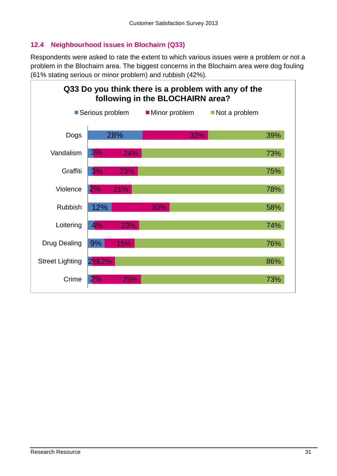#### **12.4 Neighbourhood issues in Blochairn (Q33)**

Respondents were asked to rate the extent to which various issues were a problem or not a problem in the Blochairn area. The biggest concerns in the Blochairn area were dog fouling (61% stating serious or minor problem) and rubbish (42%).

<span id="page-30-0"></span>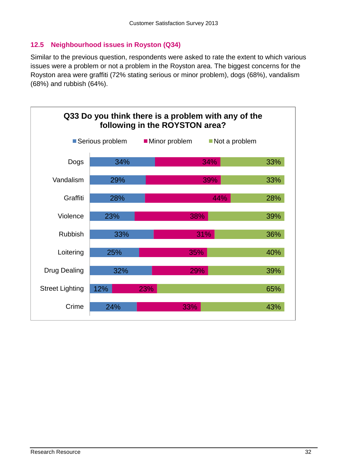#### **12.5 Neighbourhood issues in Royston (Q34)**

Similar to the previous question, respondents were asked to rate the extent to which various issues were a problem or not a problem in the Royston area. The biggest concerns for the Royston area were graffiti (72% stating serious or minor problem), dogs (68%), vandalism (68%) and rubbish (64%).

<span id="page-31-0"></span>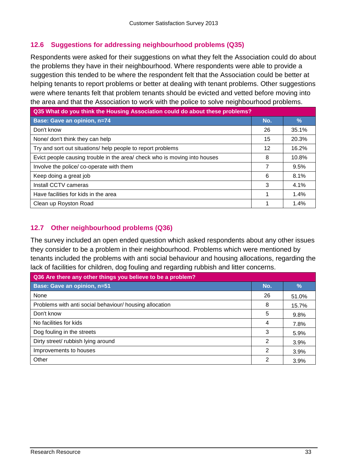#### **12.6 Suggestions for addressing neighbourhood problems (Q35)**

Respondents were asked for their suggestions on what they felt the Association could do about the problems they have in their neighbourhood. Where respondents were able to provide a suggestion this tended to be where the respondent felt that the Association could be better at helping tenants to report problems or better at dealing with tenant problems. Other suggestions were where tenants felt that problem tenants should be evicted and vetted before moving into the area and that the Association to work with the police to solve neighbourhood problems.

| Q35 What do you think the Housing Association could do about these problems? |     |               |  |  |
|------------------------------------------------------------------------------|-----|---------------|--|--|
| <b>Base: Gave an opinion, n=74</b>                                           | No. | $\frac{9}{6}$ |  |  |
| Don't know                                                                   | 26  | 35.1%         |  |  |
| None/ don't think they can help                                              | 15  | 20.3%         |  |  |
| Try and sort out situations/ help people to report problems                  | 12  | 16.2%         |  |  |
| Evict people causing trouble in the area/ check who is moving into houses    | 8   | 10.8%         |  |  |
| Involve the police/co-operate with them                                      | 7   | 9.5%          |  |  |
| Keep doing a great job                                                       | 6   | 8.1%          |  |  |
| Install CCTV cameras                                                         | 3   | 4.1%          |  |  |
| Have facilities for kids in the area                                         | 1   | 1.4%          |  |  |
| Clean up Royston Road                                                        | 1   | 1.4%          |  |  |

#### <span id="page-32-0"></span>**12.7 Other neighbourhood problems (Q36)**

The survey included an open ended question which asked respondents about any other issues they consider to be a problem in their neighbourhood. Problems which were mentioned by tenants included the problems with anti social behaviour and housing allocations, regarding the lack of facilities for children, dog fouling and regarding rubbish and litter concerns.

| Q36 Are there any other things you believe to be a problem? |     |               |  |  |
|-------------------------------------------------------------|-----|---------------|--|--|
| Base: Gave an opinion, n=51                                 | No. | $\frac{9}{6}$ |  |  |
| None                                                        | 26  | 51.0%         |  |  |
| Problems with anti social behaviour/ housing allocation     | 8   | 15.7%         |  |  |
| Don't know                                                  | 5   | 9.8%          |  |  |
| No facilities for kids                                      | 4   | 7.8%          |  |  |
| Dog fouling in the streets                                  | 3   | 5.9%          |  |  |
| Dirty street/ rubbish lying around                          | 2   | 3.9%          |  |  |
| Improvements to houses                                      | 2   | 3.9%          |  |  |
| Other                                                       | 2   | 3.9%          |  |  |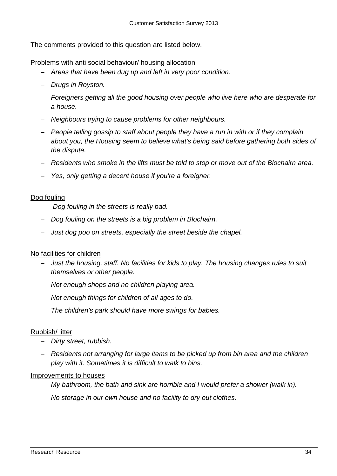The comments provided to this question are listed below.

#### Problems with anti social behaviour/ housing allocation

- *Areas that have been dug up and left in very poor condition.*
- *Drugs in Royston.*
- *Foreigners getting all the good housing over people who live here who are desperate for a house.*
- *Neighbours trying to cause problems for other neighbours.*
- *People telling gossip to staff about people they have a run in with or if they complain about you, the Housing seem to believe what's being said before gathering both sides of the dispute.*
- *Residents who smoke in the lifts must be told to stop or move out of the Blochairn area.*
- *Yes, only getting a decent house if you're a foreigner.*

#### Dog fouling

- *Dog fouling in the streets is really bad.*
- *Dog fouling on the streets is a big problem in Blochairn.*
- *Just dog poo on streets, especially the street beside the chapel.*

#### No facilities for children

- *Just the housing, staff. No facilities for kids to play. The housing changes rules to suit themselves or other people.*
- *Not enough shops and no children playing area.*
- *Not enough things for children of all ages to do.*
- *The children's park should have more swings for babies.*

#### Rubbish/ litter

- *Dirty street, rubbish.*
- *Residents not arranging for large items to be picked up from bin area and the children play with it. Sometimes it is difficult to walk to bins.*

#### Improvements to houses

- *My bathroom, the bath and sink are horrible and I would prefer a shower (walk in).*
- *No storage in our own house and no facility to dry out clothes.*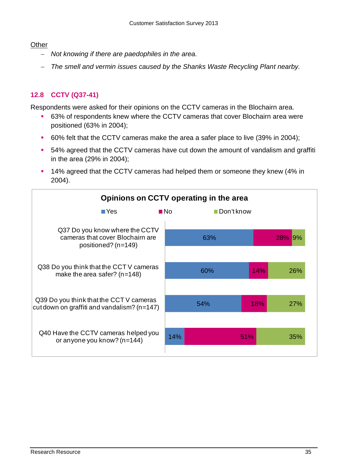#### **Other**

- *Not knowing if there are paedophiles in the area.*
- *The smell and vermin issues caused by the Shanks Waste Recycling Plant nearby.*

#### <span id="page-34-0"></span>**12.8 CCTV (Q37-41)**

Respondents were asked for their opinions on the CCTV cameras in the Blochairn area.

- 63% of respondents knew where the CCTV cameras that cover Blochairn area were positioned (63% in 2004);
- 60% felt that the CCTV cameras make the area a safer place to live (39% in 2004);
- 54% agreed that the CCTV cameras have cut down the amount of vandalism and graffiti in the area (29% in 2004);
- <sup>14%</sup> agreed that the CCTV cameras had helped them or someone they knew (4% in 2004).

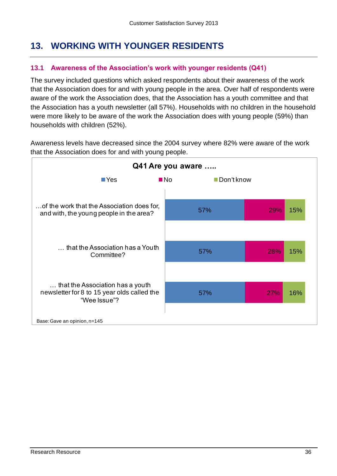# <span id="page-35-0"></span>**13. WORKING WITH YOUNGER RESIDENTS**

#### <span id="page-35-1"></span>**13.1 Awareness of the Association's work with younger residents (Q41)**

The survey included questions which asked respondents about their awareness of the work that the Association does for and with young people in the area. Over half of respondents were aware of the work the Association does, that the Association has a youth committee and that the Association has a youth newsletter (all 57%). Households with no children in the household were more likely to be aware of the work the Association does with young people (59%) than households with children (52%).

Awareness levels have decreased since the 2004 survey where 82% were aware of the work that the Association does for and with young people.

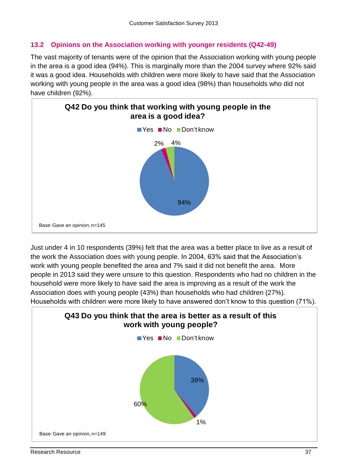## **13.2 Opinions on the Association working with younger residents (Q42-49)**

The vast majority of tenants were of the opinion that the Association working with young people in the area is a good idea (94%). This is marginally more than the 2004 survey where 92% said it was a good idea. Households with children were more likely to have said that the Association working with young people in the area was a good idea (98%) than households who did not have children (92%).



Just under 4 in 10 respondents (39%) felt that the area was a better place to live as a result of the work the Association does with young people. In 2004, 63% said that the Association's work with young people benefited the area and 7% said it did not benefit the area. More people in 2013 said they were unsure to this question. Respondents who had no children in the household were more likely to have said the area is improving as a result of the work the Association does with young people (43%) than households who had children (27%). Households with children were more likely to have answered don't know to this question (71%).

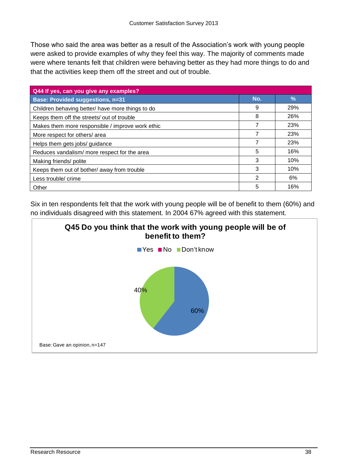Those who said the area was better as a result of the Association's work with young people were asked to provide examples of why they feel this way. The majority of comments made were where tenants felt that children were behaving better as they had more things to do and that the activities keep them off the street and out of trouble.

| Q44 If yes, can you give any examples?           |     |               |
|--------------------------------------------------|-----|---------------|
| <b>Base: Provided suggestions, n=31</b>          | No. | $\frac{9}{6}$ |
| Children behaving better/ have more things to do | 9   | 29%           |
| Keeps them off the streets/ out of trouble       | 8   | 26%           |
| Makes them more responsible / improve work ethic | 7   | 23%           |
| More respect for others/ area                    | 7   | 23%           |
| Helps them gets jobs/ guidance                   | 7   | 23%           |
| Reduces vandalism/more respect for the area      | 5   | 16%           |
| Making friends/ polite                           | 3   | 10%           |
| Keeps them out of bother/ away from trouble      | 3   | 10%           |
| Less trouble/ crime                              | 2   | 6%            |
| Other                                            | 5   | 16%           |

Six in ten respondents felt that the work with young people will be of benefit to them (60%) and no individuals disagreed with this statement. In 2004 67% agreed with this statement.

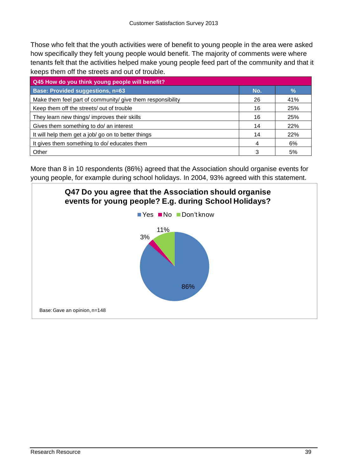Those who felt that the youth activities were of benefit to young people in the area were asked how specifically they felt young people would benefit. The majority of comments were where tenants felt that the activities helped make young people feed part of the community and that it keeps them off the streets and out of trouble.

| Q45 How do you think young people will benefit?            |     |     |
|------------------------------------------------------------|-----|-----|
| <b>Base: Provided suggestions, n=63</b>                    | No. | %   |
| Make them feel part of community/ give them responsibility | 26  | 41% |
| Keep them off the streets/ out of trouble                  | 16  | 25% |
| They learn new things/ improves their skills               | 16  | 25% |
| Gives them something to do/ an interest                    | 14  | 22% |
| It will help them get a job/ go on to better things        | 14  | 22% |
| It gives them something to do/ educates them               | 4   | 6%  |
| Other                                                      | 3   | 5%  |

More than 8 in 10 respondents (86%) agreed that the Association should organise events for young people, for example during school holidays. In 2004, 93% agreed with this statement.

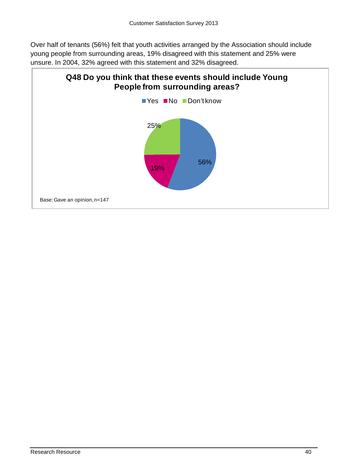Over half of tenants (56%) felt that youth activities arranged by the Association should include young people from surrounding areas, 19% disagreed with this statement and 25% were unsure. In 2004, 32% agreed with this statement and 32% disagreed.

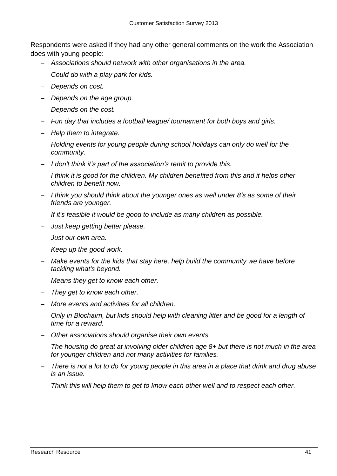Respondents were asked if they had any other general comments on the work the Association does with young people:

- *Associations should network with other organisations in the area.*
- *Could do with a play park for kids.*
- *Depends on cost.*
- *Depends on the age group.*
- *Depends on the cost.*
- *Fun day that includes a football league/ tournament for both boys and girls.*
- *Help them to integrate.*
- *Holding events for young people during school holidays can only do well for the community.*
- *I don't think it's part of the association's remit to provide this.*
- *I think it is good for the children. My children benefited from this and it helps other children to benefit now.*
- *I think you should think about the younger ones as well under 8's as some of their friends are younger.*
- *If it's feasible it would be good to include as many children as possible.*
- *Just keep getting better please.*
- *Just our own area.*
- *Keep up the good work.*
- *Make events for the kids that stay here, help build the community we have before tackling what's beyond.*
- *Means they get to know each other.*
- *They get to know each other.*
- *More events and activities for all children.*
- *Only in Blochairn, but kids should help with cleaning litter and be good for a length of time for a reward.*
- *Other associations should organise their own events.*
- *The housing do great at involving older children age 8+ but there is not much in the area for younger children and not many activities for families.*
- *There is not a lot to do for young people in this area in a place that drink and drug abuse is an issue.*
- *Think this will help them to get to know each other well and to respect each other.*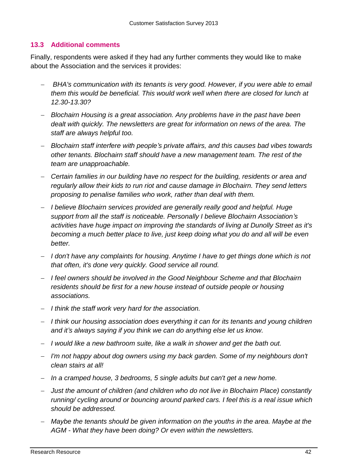#### **13.3 Additional comments**

Finally, respondents were asked if they had any further comments they would like to make about the Association and the services it provides:

- *BHA's communication with its tenants is very good. However, if you were able to email them this would be beneficial. This would work well when there are closed for lunch at 12.30-13.30?*
- *Blochairn Housing is a great association. Any problems have in the past have been dealt with quickly. The newsletters are great for information on news of the area. The staff are always helpful too.*
- *Blochairn staff interfere with people's private affairs, and this causes bad vibes towards other tenants. Blochairn staff should have a new management team. The rest of the team are unapproachable.*
- *Certain families in our building have no respect for the building, residents or area and regularly allow their kids to run riot and cause damage in Blochairn. They send letters proposing to penalise families who work, rather than deal with them.*
- *I believe Blochairn services provided are generally really good and helpful. Huge support from all the staff is noticeable. Personally I believe Blochairn Association's activities have huge impact on improving the standards of living at Dunolly Street as it's becoming a much better place to live, just keep doing what you do and all will be even better.*
- *I don't have any complaints for housing. Anytime I have to get things done which is not that often, it's done very quickly. Good service all round.*
- *I feel owners should be involved in the Good Neighbour Scheme and that Blochairn residents should be first for a new house instead of outside people or housing associations.*
- *I think the staff work very hard for the association.*
- *I think our housing association does everything it can for its tenants and young children and it's always saying if you think we can do anything else let us know.*
- *I would like a new bathroom suite, like a walk in shower and get the bath out.*
- *I'm not happy about dog owners using my back garden. Some of my neighbours don't clean stairs at all!*
- *In a cramped house, 3 bedrooms, 5 single adults but can't get a new home.*
- *Just the amount of children (and children who do not live in Blochairn Place) constantly running/ cycling around or bouncing around parked cars. I feel this is a real issue which should be addressed.*
- *Maybe the tenants should be given information on the youths in the area. Maybe at the AGM - What they have been doing? Or even within the newsletters.*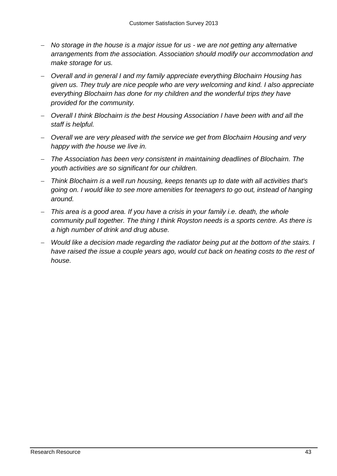- *No storage in the house is a major issue for us - we are not getting any alternative arrangements from the association. Association should modify our accommodation and make storage for us.*
- *Overall and in general I and my family appreciate everything Blochairn Housing has given us. They truly are nice people who are very welcoming and kind. I also appreciate everything Blochairn has done for my children and the wonderful trips they have provided for the community.*
- *Overall I think Blochairn is the best Housing Association I have been with and all the staff is helpful.*
- *Overall we are very pleased with the service we get from Blochairn Housing and very happy with the house we live in.*
- *The Association has been very consistent in maintaining deadlines of Blochairn. The youth activities are so significant for our children.*
- *Think Blochairn is a well run housing, keeps tenants up to date with all activities that's going on. I would like to see more amenities for teenagers to go out, instead of hanging around.*
- *This area is a good area. If you have a crisis in your family i.e. death, the whole community pull together. The thing I think Royston needs is a sports centre. As there is a high number of drink and drug abuse.*
- *Would like a decision made regarding the radiator being put at the bottom of the stairs. I have raised the issue a couple years ago, would cut back on heating costs to the rest of house.*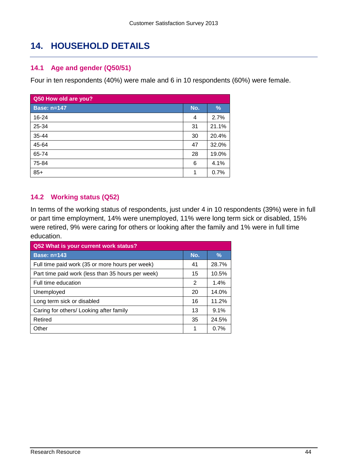# **14. HOUSEHOLD DETAILS**

#### **14.1 Age and gender (Q50/51)**

Four in ten respondents (40%) were male and 6 in 10 respondents (60%) were female.

| Q50 How old are you? |     |       |
|----------------------|-----|-------|
| <b>Base: n=147</b>   | No. | %     |
| 16-24                | 4   | 2.7%  |
| 25-34                | 31  | 21.1% |
| 35-44                | 30  | 20.4% |
| 45-64                | 47  | 32.0% |
| 65-74                | 28  | 19.0% |
| 75-84                | 6   | 4.1%  |
| $85+$                | 1   | 0.7%  |

## **14.2 Working status (Q52)**

In terms of the working status of respondents, just under 4 in 10 respondents (39%) were in full or part time employment, 14% were unemployed, 11% were long term sick or disabled, 15% were retired, 9% were caring for others or looking after the family and 1% were in full time education.

| Q52 What is your current work status?             |     |               |
|---------------------------------------------------|-----|---------------|
| <b>Base: n=143</b>                                | No. | $\frac{9}{6}$ |
| Full time paid work (35 or more hours per week)   | 41  | 28.7%         |
| Part time paid work (less than 35 hours per week) | 15  | 10.5%         |
| Full time education                               | 2   | 1.4%          |
| Unemployed                                        | 20  | 14.0%         |
| Long term sick or disabled                        | 16  | 11.2%         |
| Caring for others/ Looking after family           | 13  | 9.1%          |
| Retired                                           | 35  | 24.5%         |
| Other                                             | 1   | 0.7%          |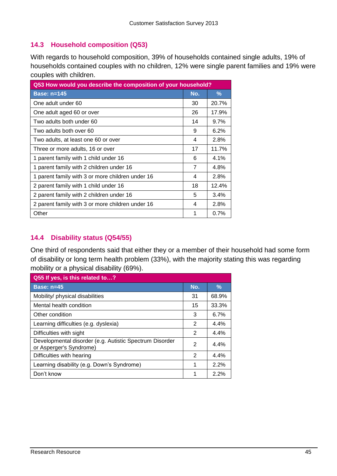## **14.3 Household composition (Q53)**

With regards to household composition, 39% of households contained single adults, 19% of households contained couples with no children, 12% were single parent families and 19% were couples with children.

| Q53 How would you describe the composition of your household? |     |       |
|---------------------------------------------------------------|-----|-------|
| <b>Base: n=145</b>                                            | No. | $\%$  |
| One adult under 60                                            | 30  | 20.7% |
| One adult aged 60 or over                                     | 26  | 17.9% |
| Two adults both under 60                                      | 14  | 9.7%  |
| Two adults both over 60                                       | 9   | 6.2%  |
| Two adults, at least one 60 or over                           | 4   | 2.8%  |
| Three or more adults, 16 or over                              | 17  | 11.7% |
| 1 parent family with 1 child under 16                         | 6   | 4.1%  |
| 1 parent family with 2 children under 16                      | 7   | 4.8%  |
| 1 parent family with 3 or more children under 16              | 4   | 2.8%  |
| 2 parent family with 1 child under 16                         | 18  | 12.4% |
| 2 parent family with 2 children under 16                      | 5   | 3.4%  |
| 2 parent family with 3 or more children under 16              | 4   | 2.8%  |
| Other                                                         | 1   | 0.7%  |

#### **14.4 Disability status (Q54/55)**

One third of respondents said that either they or a member of their household had some form of disability or long term health problem (33%), with the majority stating this was regarding mobility or a physical disability (69%).

| Q55 If yes, is this related to?                                                    |     |               |
|------------------------------------------------------------------------------------|-----|---------------|
| Base: $n=45$                                                                       | No. | $\frac{9}{6}$ |
| Mobility/ physical disabilities                                                    | 31  | 68.9%         |
| Mental health condition                                                            | 15  | 33.3%         |
| Other condition                                                                    | 3   | 6.7%          |
| Learning difficulties (e.g. dyslexia)                                              | 2   | 4.4%          |
| Difficulties with sight                                                            | 2   | 4.4%          |
| Developmental disorder (e.g. Autistic Spectrum Disorder<br>or Asperger's Syndrome) | 2   | 4.4%          |
| Difficulties with hearing                                                          | 2   | 4.4%          |
| Learning disability (e.g. Down's Syndrome)                                         |     | 2.2%          |
| Don't know                                                                         |     | 2.2%          |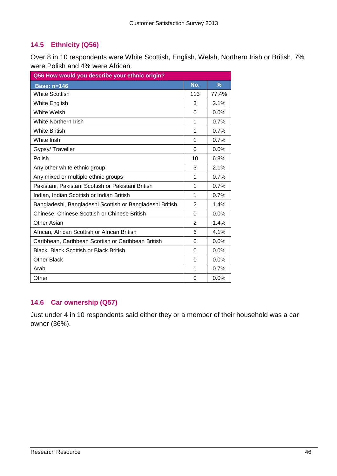## **14.5 Ethnicity (Q56)**

Over 8 in 10 respondents were White Scottish, English, Welsh, Northern Irish or British, 7% were Polish and 4% were African.

| Q56 How would you describe your ethnic origin?           |          |               |
|----------------------------------------------------------|----------|---------------|
| <b>Base: n=146</b>                                       | No.      | $\frac{9}{6}$ |
| <b>White Scottish</b>                                    | 113      | 77.4%         |
| White English                                            | 3        | 2.1%          |
| White Welsh                                              | $\Omega$ | 0.0%          |
| <b>White Northern Irish</b>                              | 1        | 0.7%          |
| <b>White British</b>                                     | 1        | 0.7%          |
| White Irish                                              | 1        | 0.7%          |
| Gypsy/ Traveller                                         | $\Omega$ | 0.0%          |
| Polish                                                   | 10       | 6.8%          |
| Any other white ethnic group                             | 3        | 2.1%          |
| Any mixed or multiple ethnic groups                      | 1        | 0.7%          |
| Pakistani, Pakistani Scottish or Pakistani British       | 1        | 0.7%          |
| Indian, Indian Scottish or Indian British                | 1        | 0.7%          |
| Bangladeshi, Bangladeshi Scottish or Bangladeshi British | 2        | 1.4%          |
| Chinese, Chinese Scottish or Chinese British             | 0        | 0.0%          |
| Other Asian                                              | 2        | 1.4%          |
| African, African Scottish or African British             | 6        | 4.1%          |
| Caribbean, Caribbean Scottish or Caribbean British       | 0        | 0.0%          |
| Black, Black Scottish or Black British                   | $\Omega$ | 0.0%          |
| <b>Other Black</b>                                       | 0        | 0.0%          |
| Arab                                                     | 1        | 0.7%          |
| Other                                                    | 0        | 0.0%          |

## **14.6 Car ownership (Q57)**

Just under 4 in 10 respondents said either they or a member of their household was a car owner (36%).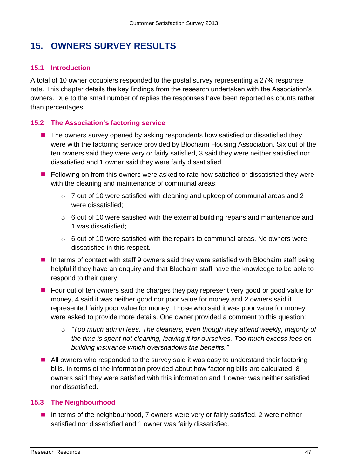## **15. OWNERS SURVEY RESULTS**

#### **15.1 Introduction**

A total of 10 owner occupiers responded to the postal survey representing a 27% response rate. This chapter details the key findings from the research undertaken with the Association's owners. Due to the small number of replies the responses have been reported as counts rather than percentages

#### **15.2 The Association's factoring service**

- The owners survey opened by asking respondents how satisfied or dissatisfied they were with the factoring service provided by Blochairn Housing Association. Six out of the ten owners said they were very or fairly satisfied, 3 said they were neither satisfied nor dissatisfied and 1 owner said they were fairly dissatisfied.
- **Following on from this owners were asked to rate how satisfied or dissatisfied they were** with the cleaning and maintenance of communal areas:
	- o 7 out of 10 were satisfied with cleaning and upkeep of communal areas and 2 were dissatisfied;
	- $\circ$  6 out of 10 were satisfied with the external building repairs and maintenance and 1 was dissatisfied;
	- $\circ$  6 out of 10 were satisfied with the repairs to communal areas. No owners were dissatisfied in this respect.
- In terms of contact with staff 9 owners said they were satisfied with Blochairn staff being helpful if they have an enquiry and that Blochairn staff have the knowledge to be able to respond to their query.
- Four out of ten owners said the charges they pay represent very good or good value for money, 4 said it was neither good nor poor value for money and 2 owners said it represented fairly poor value for money. Those who said it was poor value for money were asked to provide more details. One owner provided a comment to this question:
	- o *"Too much admin fees. The cleaners, even though they attend weekly, majority of the time is spent not cleaning, leaving it for ourselves. Too much excess fees on building insurance which overshadows the benefits."*
- All owners who responded to the survey said it was easy to understand their factoring bills. In terms of the information provided about how factoring bills are calculated, 8 owners said they were satisfied with this information and 1 owner was neither satisfied nor dissatisfied.

#### **15.3 The Neighbourhood**

 $\blacksquare$  In terms of the neighbourhood, 7 owners were very or fairly satisfied, 2 were neither satisfied nor dissatisfied and 1 owner was fairly dissatisfied.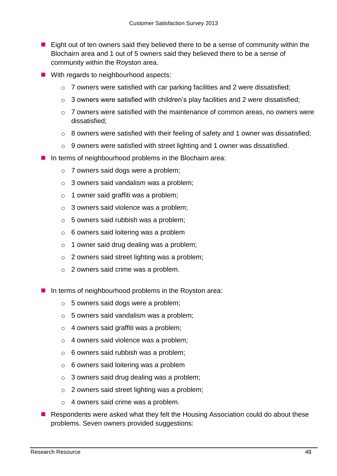- Eight out of ten owners said they believed there to be a sense of community within the Blochairn area and 1 out of 5 owners said they believed there to be a sense of community within the Royston area.
- With regards to neighbourhood aspects:
	- o 7 owners were satisfied with car parking facilities and 2 were dissatisfied;
	- $\circ$  3 owners were satisfied with children's play facilities and 2 were dissatisfied:
	- o 7 owners were satisfied with the maintenance of common areas, no owners were dissatisfied;
	- o 8 owners were satisfied with their feeling of safety and 1 owner was dissatisfied;
	- o 9 owners were satisfied with street lighting and 1 owner was dissatisfied.
- In terms of neighbourhood problems in the Blochairn area:
	- o 7 owners said dogs were a problem;
	- o 3 owners said vandalism was a problem;
	- $\circ$  1 owner said graffiti was a problem;
	- o 3 owners said violence was a problem;
	- o 5 owners said rubbish was a problem;
	- o 6 owners said loitering was a problem
	- $\circ$  1 owner said drug dealing was a problem;
	- o 2 owners said street lighting was a problem;
	- o 2 owners said crime was a problem.
- $\blacksquare$  In terms of neighbourhood problems in the Royston area:
	- o 5 owners said dogs were a problem;
	- $\circ$  5 owners said vandalism was a problem;
	- $\circ$  4 owners said graffiti was a problem;
	- o 4 owners said violence was a problem;
	- o 6 owners said rubbish was a problem;
	- $\circ$  6 owners said loitering was a problem
	- $\circ$  3 owners said drug dealing was a problem;
	- o 2 owners said street lighting was a problem;
	- o 4 owners said crime was a problem.
- Respondents were asked what they felt the Housing Association could do about these problems. Seven owners provided suggestions: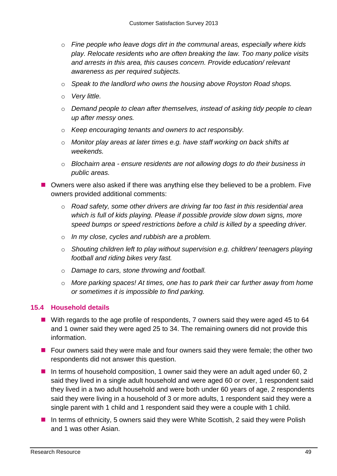- o *Fine people who leave dogs dirt in the communal areas, especially where kids play. Relocate residents who are often breaking the law. Too many police visits and arrests in this area, this causes concern. Provide education/ relevant awareness as per required subjects.*
- o *Speak to the landlord who owns the housing above Royston Road shops.*
- o *Very little.*
- o *Demand people to clean after themselves, instead of asking tidy people to clean up after messy ones.*
- o *Keep encouraging tenants and owners to act responsibly.*
- o *Monitor play areas at later times e.g. have staff working on back shifts at weekends.*
- o *Blochairn area - ensure residents are not allowing dogs to do their business in public areas.*
- Owners were also asked if there was anything else they believed to be a problem. Five owners provided additional comments:
	- o *Road safety, some other drivers are driving far too fast in this residential area which is full of kids playing. Please if possible provide slow down signs, more speed bumps or speed restrictions before a child is killed by a speeding driver.*
	- o *In my close, cycles and rubbish are a problem.*
	- o *Shouting children left to play without supervision e.g. children/ teenagers playing football and riding bikes very fast.*
	- o *Damage to cars, stone throwing and football.*
	- o *More parking spaces! At times, one has to park their car further away from home or sometimes it is impossible to find parking.*

#### **15.4 Household details**

- With regards to the age profile of respondents, 7 owners said they were aged 45 to 64 and 1 owner said they were aged 25 to 34. The remaining owners did not provide this information.
- **F** Four owners said they were male and four owners said they were female; the other two respondents did not answer this question.
- In terms of household composition, 1 owner said they were an adult aged under 60, 2 said they lived in a single adult household and were aged 60 or over, 1 respondent said they lived in a two adult household and were both under 60 years of age, 2 respondents said they were living in a household of 3 or more adults, 1 respondent said they were a single parent with 1 child and 1 respondent said they were a couple with 1 child.
- In terms of ethnicity, 5 owners said they were White Scottish, 2 said they were Polish and 1 was other Asian.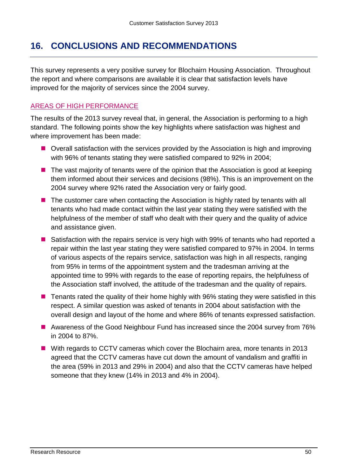## **16. CONCLUSIONS AND RECOMMENDATIONS**

This survey represents a very positive survey for Blochairn Housing Association. Throughout the report and where comparisons are available it is clear that satisfaction levels have improved for the majority of services since the 2004 survey.

## AREAS OF HIGH PERFORMANCE

The results of the 2013 survey reveal that, in general, the Association is performing to a high standard. The following points show the key highlights where satisfaction was highest and where improvement has been made:

- Overall satisfaction with the services provided by the Association is high and improving with 96% of tenants stating they were satisfied compared to 92% in 2004;
- $\blacksquare$  The vast majority of tenants were of the opinion that the Association is good at keeping them informed about their services and decisions (98%). This is an improvement on the 2004 survey where 92% rated the Association very or fairly good.
- The customer care when contacting the Association is highly rated by tenants with all tenants who had made contact within the last year stating they were satisfied with the helpfulness of the member of staff who dealt with their query and the quality of advice and assistance given.
- Satisfaction with the repairs service is very high with 99% of tenants who had reported a repair within the last year stating they were satisfied compared to 97% in 2004. In terms of various aspects of the repairs service, satisfaction was high in all respects, ranging from 95% in terms of the appointment system and the tradesman arriving at the appointed time to 99% with regards to the ease of reporting repairs, the helpfulness of the Association staff involved, the attitude of the tradesman and the quality of repairs.
- Tenants rated the quality of their home highly with 96% stating they were satisfied in this respect. A similar question was asked of tenants in 2004 about satisfaction with the overall design and layout of the home and where 86% of tenants expressed satisfaction.
- Awareness of the Good Neighbour Fund has increased since the 2004 survey from 76% in 2004 to 87%.
- With regards to CCTV cameras which cover the Blochairn area, more tenants in 2013 agreed that the CCTV cameras have cut down the amount of vandalism and graffiti in the area (59% in 2013 and 29% in 2004) and also that the CCTV cameras have helped someone that they knew (14% in 2013 and 4% in 2004).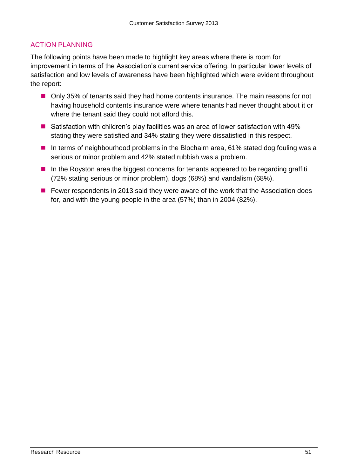## ACTION PLANNING

The following points have been made to highlight key areas where there is room for improvement in terms of the Association's current service offering. In particular lower levels of satisfaction and low levels of awareness have been highlighted which were evident throughout the report:

- Only 35% of tenants said they had home contents insurance. The main reasons for not having household contents insurance were where tenants had never thought about it or where the tenant said they could not afford this.
- Satisfaction with children's play facilities was an area of lower satisfaction with 49% stating they were satisfied and 34% stating they were dissatisfied in this respect.
- In terms of neighbourhood problems in the Blochairn area, 61% stated dog fouling was a serious or minor problem and 42% stated rubbish was a problem.
- $\blacksquare$  In the Royston area the biggest concerns for tenants appeared to be regarding graffiti (72% stating serious or minor problem), dogs (68%) and vandalism (68%).
- Fewer respondents in 2013 said they were aware of the work that the Association does for, and with the young people in the area (57%) than in 2004 (82%).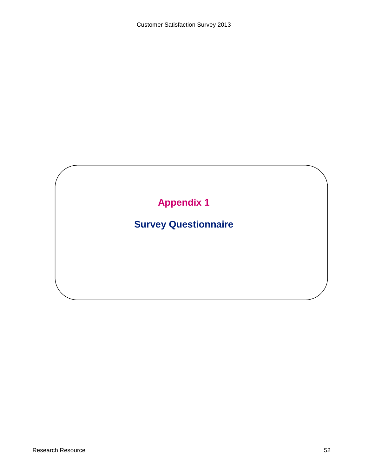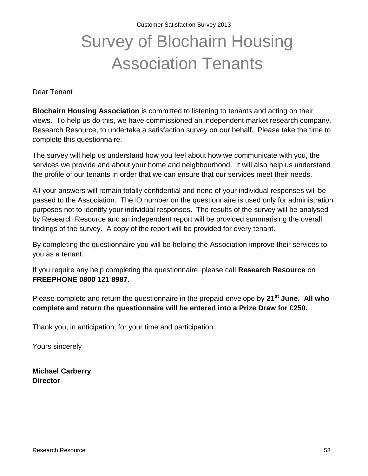Customer Satisfaction Survey 2013

# Survey of Blochairn Housing Association Tenants

Dear Tenant

**Blochairn Housing Association** is committed to listening to tenants and acting on their views. To help us do this, we have commissioned an independent market research company, Research Resource, to undertake a satisfaction survey on our behalf. Please take the time to complete this questionnaire.

The survey will help us understand how you feel about how we communicate with you, the services we provide and about your home and neighbourhood. It will also help us understand the profile of our tenants in order that we can ensure that our services meet their needs.

All your answers will remain totally confidential and none of your individual responses will be passed to the Association. The ID number on the questionnaire is used only for administration purposes not to identify your individual responses. The results of the survey will be analysed by Research Resource and an independent report will be provided summarising the overall findings of the survey. A copy of the report will be provided for every tenant.

By completing the questionnaire you will be helping the Association improve their services to you as a tenant.

If you require any help completing the questionnaire, please call **Research Resource** on **FREEPHONE 0800 121 8987**.

Please complete and return the questionnaire in the prepaid envelope by **21st June. All who complete and return the questionnaire will be entered into a Prize Draw for £250.**

Thank you, in anticipation, for your time and participation.

Yours sincerely

**Michael Carberry Director**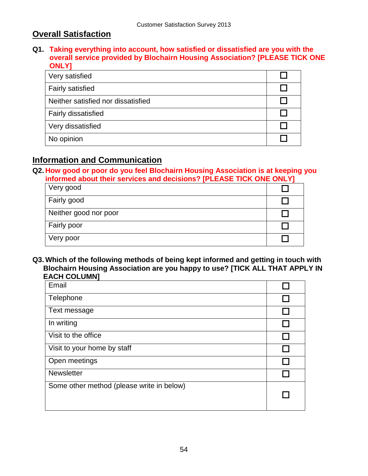## **Overall Satisfaction**

**Q1. Taking everything into account, how satisfied or dissatisfied are you with the overall service provided by Blochairn Housing Association? [PLEASE TICK ONE ONLY]**

| Very satisfied                     |  |
|------------------------------------|--|
| <b>Fairly satisfied</b>            |  |
| Neither satisfied nor dissatisfied |  |
| <b>Fairly dissatisfied</b>         |  |
| Very dissatisfied                  |  |
| No opinion                         |  |

## **Information and Communication**

**Q2. How good or poor do you feel Blochairn Housing Association is at keeping you informed about their services and decisions? [PLEASE TICK ONE ONLY]**

| Very good             |  |
|-----------------------|--|
| Fairly good           |  |
| Neither good nor poor |  |
| Fairly poor           |  |
| Very poor             |  |

**Q3. Which of the following methods of being kept informed and getting in touch with Blochairn Housing Association are you happy to use? [TICK ALL THAT APPLY IN EACH COLUMN]**

| Email                                     |  |
|-------------------------------------------|--|
| Telephone                                 |  |
| Text message                              |  |
| In writing                                |  |
| Visit to the office                       |  |
| Visit to your home by staff               |  |
| Open meetings                             |  |
| <b>Newsletter</b>                         |  |
| Some other method (please write in below) |  |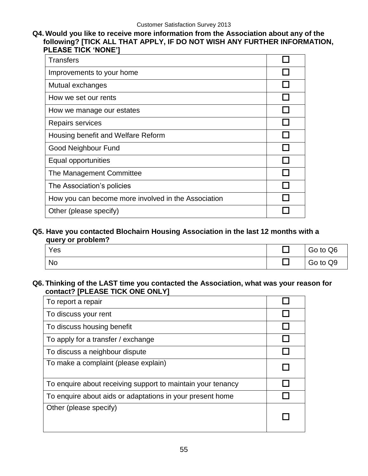#### **Q4. Would you like to receive more information from the Association about any of the following? [TICK ALL THAT APPLY, IF DO NOT WISH ANY FURTHER INFORMATION, PLEASE TICK 'NONE']**

| <b>Transfers</b>                                    |  |
|-----------------------------------------------------|--|
| Improvements to your home                           |  |
| Mutual exchanges                                    |  |
| How we set our rents                                |  |
| How we manage our estates                           |  |
| Repairs services                                    |  |
| Housing benefit and Welfare Reform                  |  |
| <b>Good Neighbour Fund</b>                          |  |
| Equal opportunities                                 |  |
| The Management Committee                            |  |
| The Association's policies                          |  |
| How you can become more involved in the Association |  |
| Other (please specify)                              |  |

#### **Q5. Have you contacted Blochairn Housing Association in the last 12 months with a query or problem?**

| Yes | Go to Q6 |
|-----|----------|
| No  | Go to Q9 |

#### **Q6. Thinking of the LAST time you contacted the Association, what was your reason for contact? [PLEASE TICK ONE ONLY]**

| To report a repair                                          |  |
|-------------------------------------------------------------|--|
| To discuss your rent                                        |  |
| To discuss housing benefit                                  |  |
| To apply for a transfer / exchange                          |  |
| To discuss a neighbour dispute                              |  |
| To make a complaint (please explain)                        |  |
| To enquire about receiving support to maintain your tenancy |  |
| To enquire about aids or adaptations in your present home   |  |
| Other (please specify)                                      |  |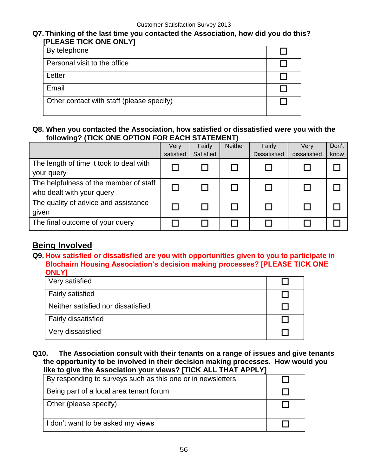#### **Q7. Thinking of the last time you contacted the Association, how did you do this? [PLEASE TICK ONE ONLY]**

| By telephone                              |  |
|-------------------------------------------|--|
| Personal visit to the office              |  |
| Letter                                    |  |
| Email                                     |  |
| Other contact with staff (please specify) |  |

#### **Q8. When you contacted the Association, how satisfied or dissatisfied were you with the following? (TICK ONE OPTION FOR EACH STATEMENT)**

|                                         | Very      | Fairly    | <b>Neither</b> | Fairly              | Very         | Don't |
|-----------------------------------------|-----------|-----------|----------------|---------------------|--------------|-------|
|                                         | satisfied | Satisfied |                | <b>Dissatisfied</b> | dissatisfied | know  |
| The length of time it took to deal with |           |           |                |                     |              |       |
| your query                              |           |           |                |                     |              |       |
| The helpfulness of the member of staff  |           |           |                |                     |              |       |
| who dealt with your query               |           |           |                |                     |              |       |
| The quality of advice and assistance    |           |           |                |                     |              |       |
| given                                   |           |           |                |                     |              |       |
| The final outcome of your query         |           |           |                |                     |              |       |

## **Being Involved**

**Q9. How satisfied or dissatisfied are you with opportunities given to you to participate in Blochairn Housing Association's decision making processes? [PLEASE TICK ONE ONLY]**

| Very satisfied                     |  |
|------------------------------------|--|
| <b>Fairly satisfied</b>            |  |
| Neither satisfied nor dissatisfied |  |
| <b>Fairly dissatisfied</b>         |  |
| Very dissatisfied                  |  |

#### **Q10. The Association consult with their tenants on a range of issues and give tenants the opportunity to be involved in their decision making processes. How would you like to give the Association your views? [TICK ALL THAT APPLY]**

| By responding to surveys such as this one or in newsletters |  |
|-------------------------------------------------------------|--|
| Being part of a local area tenant forum                     |  |
| Other (please specify)                                      |  |
| I don't want to be asked my views                           |  |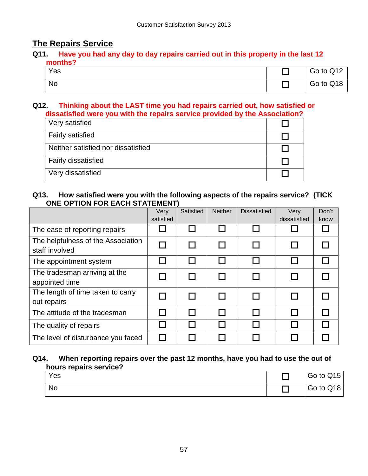## **The Repairs Service**

#### **Q11. Have you had any day to day repairs carried out in this property in the last 12 months?**

| Yes | Go to Q12 |
|-----|-----------|
| No  | Go to Q18 |

#### **Q12. Thinking about the LAST time you had repairs carried out, how satisfied or dissatisfied were you with the repairs service provided by the Association?**

| Very satisfied                     |  |
|------------------------------------|--|
| <b>Fairly satisfied</b>            |  |
| Neither satisfied nor dissatisfied |  |
| Fairly dissatisfied                |  |
| Very dissatisfied                  |  |

#### **Q13. How satisfied were you with the following aspects of the repairs service? (TICK ONE OPTION FOR EACH STATEMENT)**

|                                                      | Very<br>satisfied | Satisfied | <b>Neither</b> | <b>Dissatisfied</b> | Very<br>dissatisfied | Don't<br>know |
|------------------------------------------------------|-------------------|-----------|----------------|---------------------|----------------------|---------------|
|                                                      |                   |           |                |                     |                      |               |
| The ease of reporting repairs                        |                   |           |                |                     |                      |               |
| The helpfulness of the Association<br>staff involved |                   |           | П              |                     |                      |               |
| The appointment system                               |                   |           |                |                     |                      |               |
| The tradesman arriving at the                        |                   |           | П              |                     |                      |               |
| appointed time                                       |                   |           |                |                     |                      |               |
| The length of time taken to carry                    |                   |           | П              |                     |                      |               |
| out repairs                                          |                   |           |                |                     |                      |               |
| The attitude of the tradesman                        |                   |           |                |                     |                      |               |
| The quality of repairs                               |                   |           | $\mathsf{L}$   |                     |                      |               |
| The level of disturbance you faced                   |                   |           |                |                     |                      |               |

#### **Q14. When reporting repairs over the past 12 months, have you had to use the out of hours repairs service?**

| Yes | Go to Q15 |
|-----|-----------|
| No  | Go to Q18 |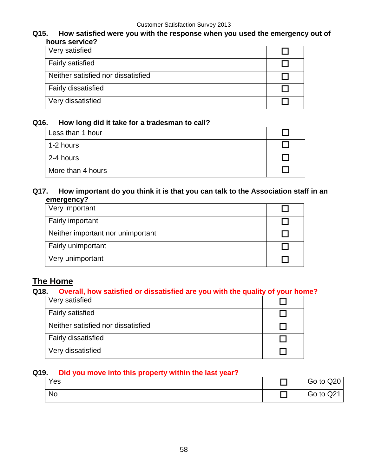#### **Q15. How satisfied were you with the response when you used the emergency out of hours service?**

| Very satisfied                     |  |
|------------------------------------|--|
| <b>Fairly satisfied</b>            |  |
| Neither satisfied nor dissatisfied |  |
| <b>Fairly dissatisfied</b>         |  |
| Very dissatisfied                  |  |

#### **Q16. How long did it take for a tradesman to call?**

| Less than 1 hour  |  |
|-------------------|--|
| 1-2 hours         |  |
| 2-4 hours         |  |
| More than 4 hours |  |

#### **Q17. How important do you think it is that you can talk to the Association staff in an emergency?**

| Very important                    |  |
|-----------------------------------|--|
| Fairly important                  |  |
| Neither important nor unimportant |  |
| Fairly unimportant                |  |
| Very unimportant                  |  |

## **The Home**

## **Q18. Overall, how satisfied or dissatisfied are you with the quality of your home?**

| Very satisfied                     |  |
|------------------------------------|--|
| <b>Fairly satisfied</b>            |  |
| Neither satisfied nor dissatisfied |  |
| <b>Fairly dissatisfied</b>         |  |
| Very dissatisfied                  |  |

#### **Q19. Did you move into this property within the last year?**

| Yes |  |  | Go to Q20 |
|-----|--|--|-----------|
| No  |  |  | Go to Q21 |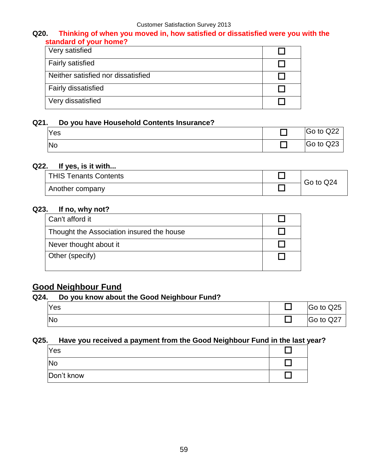#### **Q20. Thinking of when you moved in, how satisfied or dissatisfied were you with the standard of your home?**

| Very satisfied                     |  |
|------------------------------------|--|
| <b>Fairly satisfied</b>            |  |
| Neither satisfied nor dissatisfied |  |
| <b>Fairly dissatisfied</b>         |  |
| Very dissatisfied                  |  |

#### **Q21. Do you have Household Contents Insurance?**

| Yes | Go to Q22 |
|-----|-----------|
| No  | Go to Q23 |

#### **Q22. If yes, is it with...**

| THIS Tenants Contents | Go to Q24 |
|-----------------------|-----------|
| Another company       |           |

## **Q23. If no, why not?**

| Can't afford it                           |  |
|-------------------------------------------|--|
| Thought the Association insured the house |  |
| Never thought about it                    |  |
| Other (specify)                           |  |

## **Good Neighbour Fund**

#### **Q24. Do you know about the Good Neighbour Fund?**

| <b>Yes</b> | Go to Q25 |
|------------|-----------|
| <b>No</b>  | Go to Q27 |

#### **Q25. Have you received a payment from the Good Neighbour Fund in the last year?**

| <b>Yes</b> |  |
|------------|--|
| No         |  |
| Don't know |  |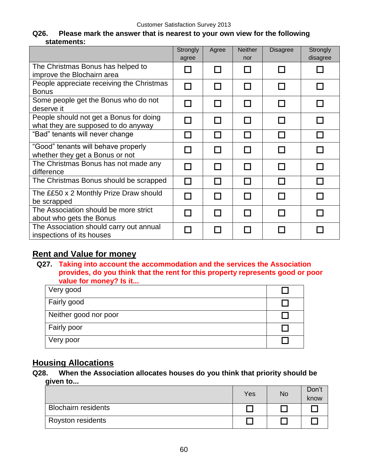#### **Q26. Please mark the answer that is nearest to your own view for the following statements:**

|                                                                                | Strongly       | Agree  | <b>Neither</b> | <b>Disagree</b> | Strongly         |
|--------------------------------------------------------------------------------|----------------|--------|----------------|-----------------|------------------|
|                                                                                | agree          |        | nor            |                 | disagree         |
| The Christmas Bonus has helped to<br>improve the Blochairn area                |                | П      |                |                 |                  |
| People appreciate receiving the Christmas<br><b>Bonus</b>                      | J.             | П      |                |                 | $\Box$           |
| Some people get the Bonus who do not<br>deserve it                             |                | П      |                |                 |                  |
| People should not get a Bonus for doing<br>what they are supposed to do anyway | $\Box$         | П      | П              |                 | <b>The State</b> |
| "Bad" tenants will never change                                                |                | I I    |                |                 | l. I             |
| "Good" tenants will behave properly<br>whether they get a Bonus or not         |                | Ш      |                |                 |                  |
| The Christmas Bonus has not made any<br>difference                             |                | П      |                |                 |                  |
| The Christmas Bonus should be scrapped                                         | $\blacksquare$ | П      |                |                 | l. I             |
| The ££50 x 2 Monthly Prize Draw should<br>be scrapped                          |                | $\Box$ |                |                 |                  |
| The Association should be more strict<br>about who gets the Bonus              |                | H      |                |                 |                  |
| The Association should carry out annual<br>inspections of its houses           |                |        |                |                 |                  |

## **Rent and Value for money**

**Q27. Taking into account the accommodation and the services the Association provides, do you think that the rent for this property represents good or poor value for money? Is it...**

| Very good             |  |
|-----------------------|--|
| Fairly good           |  |
| Neither good nor poor |  |
| Fairly poor           |  |
| Very poor             |  |

## **Housing Allocations**

**Q28. When the Association allocates houses do you think that priority should be given to...**

|                            | Yes | <b>No</b> | Don't<br>know |
|----------------------------|-----|-----------|---------------|
| <b>Blochairn residents</b> |     |           |               |
| Royston residents          |     |           |               |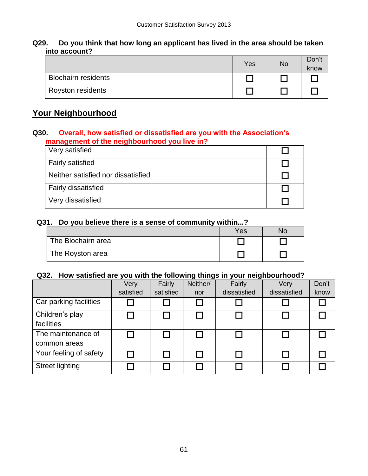#### **Q29. Do you think that how long an applicant has lived in the area should be taken into account?**

|                            | Yes | <b>No</b> | Don't<br>know |
|----------------------------|-----|-----------|---------------|
| <b>Blochairn residents</b> |     |           |               |
| Royston residents          |     |           |               |

## **Your Neighbourhood**

#### **Q30. Overall, how satisfied or dissatisfied are you with the Association's management of the neighbourhood you live in?**

| Very satisfied                     |  |
|------------------------------------|--|
| <b>Fairly satisfied</b>            |  |
| Neither satisfied nor dissatisfied |  |
| <b>Fairly dissatisfied</b>         |  |
| Very dissatisfied                  |  |
|                                    |  |

#### **Q31. Do you believe there is a sense of community within...?**

|                    | Yes | NO |
|--------------------|-----|----|
| The Blochairn area |     |    |
| The Royston area   |     |    |

#### **Q32. How satisfied are you with the following things in your neighbourhood?**

|                        | Very      | Fairly    | Neither/ | Fairly       | Very         | Don't |
|------------------------|-----------|-----------|----------|--------------|--------------|-------|
|                        | satisfied | satisfied | nor      | dissatisfied | dissatisfied | know  |
| Car parking facilities |           |           |          |              |              |       |
| Children's play        |           |           |          |              |              |       |
| facilities             |           |           |          |              |              |       |
| The maintenance of     |           |           |          |              |              |       |
| common areas           |           |           |          |              |              |       |
| Your feeling of safety |           |           |          |              |              |       |
| <b>Street lighting</b> |           |           |          |              |              |       |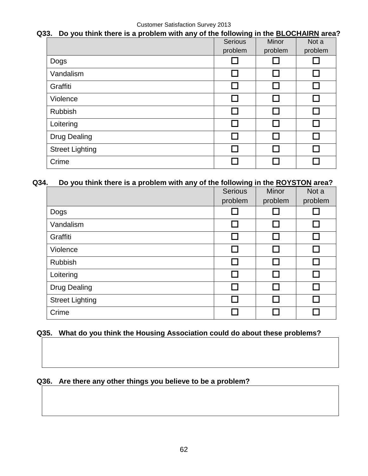#### **Q33. Do you think there is a problem with any of the following in the BLOCHAIRN area?**

|                        | Serious                     | Minor   | Not a   |
|------------------------|-----------------------------|---------|---------|
|                        | problem                     | problem | problem |
| Dogs                   |                             |         |         |
| Vandalism              | □                           |         |         |
| Graffiti               | L.                          |         |         |
| Violence               | $\mathcal{L}_{\mathcal{A}}$ |         |         |
| Rubbish                | Г                           |         |         |
| Loitering              | Г                           |         |         |
| <b>Drug Dealing</b>    | $\mathcal{L}_{\mathcal{A}}$ |         |         |
| <b>Street Lighting</b> | Г                           |         |         |
| Crime                  |                             |         |         |

#### **Q34. Do you think there is a problem with any of the following in the ROYSTON area?**

|                        | <b>Serious</b> | <b>Minor</b> | Not a           |
|------------------------|----------------|--------------|-----------------|
|                        | problem        | problem      | problem         |
| Dogs                   |                |              |                 |
| Vandalism              |                |              | П               |
| Graffiti               |                |              |                 |
| Violence               |                | l. I         | L.              |
| <b>Rubbish</b>         |                |              | <b>Contract</b> |
| Loitering              |                |              | ┌┐              |
| <b>Drug Dealing</b>    | П              | П            |                 |
| <b>Street Lighting</b> |                |              |                 |
| Crime                  |                |              |                 |

## **Q35. What do you think the Housing Association could do about these problems?**

## **Q36. Are there any other things you believe to be a problem?**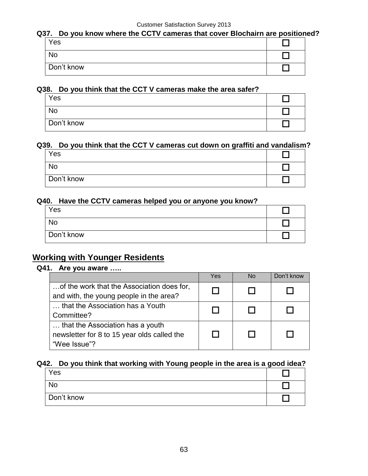#### **Q37. Do you know where the CCTV cameras that cover Blochairn are positioned?**

| Yes        |  |
|------------|--|
| <b>No</b>  |  |
| Don't know |  |

#### **Q38. Do you think that the CCT V cameras make the area safer?**

| Yes        |  |
|------------|--|
| No         |  |
| Don't know |  |

#### **Q39. Do you think that the CCT V cameras cut down on graffiti and vandalism?**

| Yes        |  |
|------------|--|
| <b>No</b>  |  |
| Don't know |  |

#### **Q40. Have the CCTV cameras helped you or anyone you know?**

| Yes        |  |
|------------|--|
| No         |  |
| Don't know |  |

## **Working with Younger Residents**

#### **Q41. Are you aware …..**

|                                             | Yes | No | Don't know |
|---------------------------------------------|-----|----|------------|
| of the work that the Association does for,  |     |    |            |
| and with, the young people in the area?     |     |    |            |
| that the Association has a Youth            |     |    |            |
| Committee?                                  |     |    |            |
| that the Association has a youth            |     |    |            |
| newsletter for 8 to 15 year olds called the |     |    |            |
| "Wee Issue"?                                |     |    |            |

#### **Q42. Do you think that working with Young people in the area is a good idea?**

| Yes        |  |
|------------|--|
| <b>No</b>  |  |
| Don't know |  |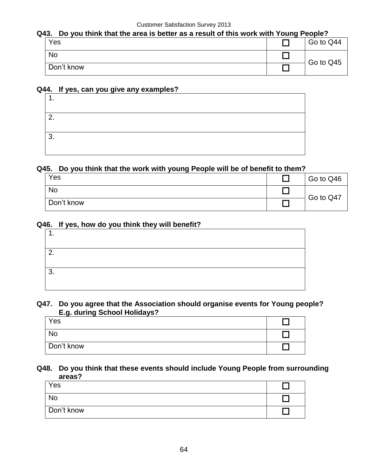## **Q43. Do you think that the area is better as a result of this work with Young People?**

| Yes        | Go to Q44 |  |
|------------|-----------|--|
| <b>No</b>  | Go to Q45 |  |
| Don't know |           |  |

#### **Q44. If yes, can you give any examples?**

#### **Q45. Do you think that the work with young People will be of benefit to them?**

| Yes        | Go to Q46 |
|------------|-----------|
| <b>No</b>  | Go to Q47 |
| Don't know |           |

#### **Q46. If yes, how do you think they will benefit?**

| $\sqrt{2}$<br><u>.</u> |  |
|------------------------|--|
| ึ<br>ັ                 |  |

#### **Q47. Do you agree that the Association should organise events for Young people? E.g. during School Holidays?**

| Yes        |  |
|------------|--|
| <b>No</b>  |  |
| Don't know |  |

#### **Q48. Do you think that these events should include Young People from surrounding areas?**

| Yes        |  |
|------------|--|
| <b>No</b>  |  |
| Don't know |  |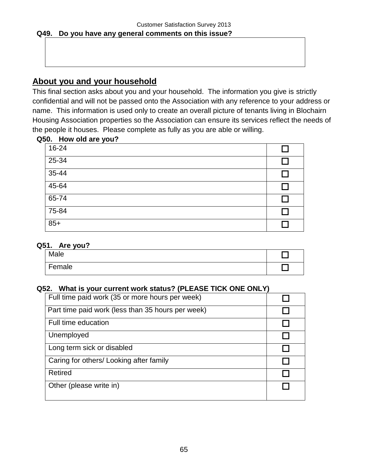## **About you and your household**

This final section asks about you and your household. The information you give is strictly confidential and will not be passed onto the Association with any reference to your address or name. This information is used only to create an overall picture of tenants living in Blochairn Housing Association properties so the Association can ensure its services reflect the needs of the people it houses. Please complete as fully as you are able or willing.

#### **Q50. How old are you?**

| 16-24     |        |
|-----------|--------|
| $25 - 34$ | $\Box$ |
| $35-44$   |        |
| $45 - 64$ |        |
| $65 - 74$ | ΙI     |
| $75 - 84$ |        |
| $85+$     |        |

#### **Q51. Are you?**

| Male   |  |
|--------|--|
| Female |  |

#### **Q52. What is your current work status? (PLEASE TICK ONE ONLY)**

| Full time paid work (35 or more hours per week)   |  |
|---------------------------------------------------|--|
| Part time paid work (less than 35 hours per week) |  |
| Full time education                               |  |
| Unemployed                                        |  |
| Long term sick or disabled                        |  |
| Caring for others/Looking after family            |  |
| <b>Retired</b>                                    |  |
| Other (please write in)                           |  |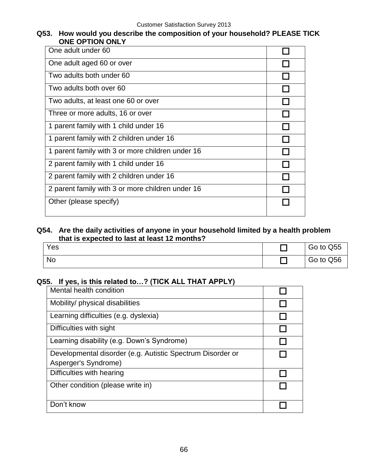#### **Q53. How would you describe the composition of your household? PLEASE TICK ONE OPTION ONLY**

| One adult under 60                               |  |
|--------------------------------------------------|--|
| One adult aged 60 or over                        |  |
| Two adults both under 60                         |  |
| Two adults both over 60                          |  |
| Two adults, at least one 60 or over              |  |
| Three or more adults, 16 or over                 |  |
| 1 parent family with 1 child under 16            |  |
| 1 parent family with 2 children under 16         |  |
| 1 parent family with 3 or more children under 16 |  |
| 2 parent family with 1 child under 16            |  |
| 2 parent family with 2 children under 16         |  |
| 2 parent family with 3 or more children under 16 |  |
| Other (please specify)                           |  |

#### **Q54. Are the daily activities of anyone in your household limited by a health problem that is expected to last at least 12 months?**

| Yes | Go to Q55 |
|-----|-----------|
| No  | Go to Q56 |

#### **Q55. If yes, is this related to…? (TICK ALL THAT APPLY)**

| Mental health condition                                                            |  |
|------------------------------------------------------------------------------------|--|
| Mobility/ physical disabilities                                                    |  |
| Learning difficulties (e.g. dyslexia)                                              |  |
| Difficulties with sight                                                            |  |
| Learning disability (e.g. Down's Syndrome)                                         |  |
| Developmental disorder (e.g. Autistic Spectrum Disorder or<br>Asperger's Syndrome) |  |
| Difficulties with hearing                                                          |  |
| Other condition (please write in)                                                  |  |
| Don't know                                                                         |  |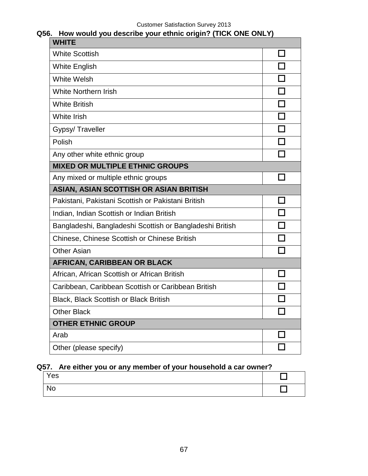| How would you describe your ethnic origin? (TICK ONE ONLY)<br>Q56. |        |
|--------------------------------------------------------------------|--------|
| <b>WHITE</b>                                                       |        |
| <b>White Scottish</b>                                              |        |
| <b>White English</b>                                               | П      |
| <b>White Welsh</b>                                                 | П      |
| <b>White Northern Irish</b>                                        | П      |
| <b>White British</b>                                               |        |
| White Irish                                                        | $\Box$ |
| Gypsy/Traveller                                                    | П      |
| Polish                                                             | П      |
| Any other white ethnic group                                       |        |
| <b>MIXED OR MULTIPLE ETHNIC GROUPS</b>                             |        |
| Any mixed or multiple ethnic groups                                |        |
| <b>ASIAN, ASIAN SCOTTISH OR ASIAN BRITISH</b>                      |        |
| Pakistani, Pakistani Scottish or Pakistani British                 | l 1    |
| Indian, Indian Scottish or Indian British                          |        |
| Bangladeshi, Bangladeshi Scottish or Bangladeshi British           |        |
| <b>Chinese, Chinese Scottish or Chinese British</b>                |        |
| <b>Other Asian</b>                                                 |        |
| <b>AFRICAN, CARIBBEAN OR BLACK</b>                                 |        |
| African, African Scottish or African British                       |        |
| Caribbean, Caribbean Scottish or Caribbean British                 |        |
| <b>Black, Black Scottish or Black British</b>                      |        |
| <b>Other Black</b>                                                 |        |
| <b>OTHER ETHNIC GROUP</b>                                          |        |
| Arab                                                               |        |
| Other (please specify)                                             |        |

## **Q57. Are either you or any member of your household a car owner?**

| Yes       |  |
|-----------|--|
| <b>No</b> |  |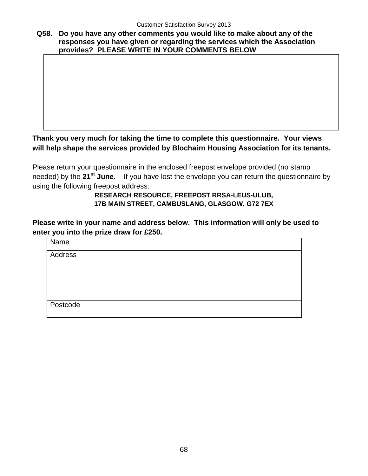**Q58. Do you have any other comments you would like to make about any of the responses you have given or regarding the services which the Association provides? PLEASE WRITE IN YOUR COMMENTS BELOW**

## **Thank you very much for taking the time to complete this questionnaire. Your views will help shape the services provided by Blochairn Housing Association for its tenants.**

Please return your questionnaire in the enclosed freepost envelope provided (no stamp needed) by the **21st June.** If you have lost the envelope you can return the questionnaire by using the following freepost address:

#### **RESEARCH RESOURCE, FREEPOST RRSA-LEUS-ULUB, 17B MAIN STREET, CAMBUSLANG, GLASGOW, G72 7EX**

**Please write in your name and address below. This information will only be used to enter you into the prize draw for £250.**

| Name     |  |
|----------|--|
| Address  |  |
|          |  |
|          |  |
|          |  |
| Postcode |  |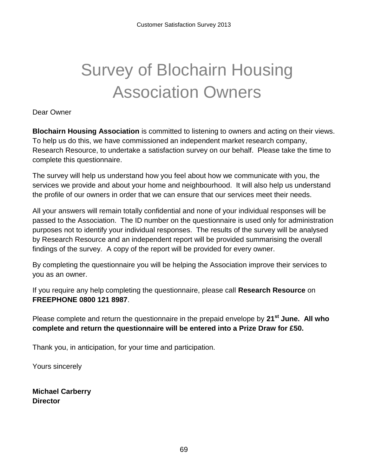# Survey of Blochairn Housing Association Owners

Dear Owner

**Blochairn Housing Association** is committed to listening to owners and acting on their views. To help us do this, we have commissioned an independent market research company, Research Resource, to undertake a satisfaction survey on our behalf. Please take the time to complete this questionnaire.

The survey will help us understand how you feel about how we communicate with you, the services we provide and about your home and neighbourhood. It will also help us understand the profile of our owners in order that we can ensure that our services meet their needs.

All your answers will remain totally confidential and none of your individual responses will be passed to the Association. The ID number on the questionnaire is used only for administration purposes not to identify your individual responses. The results of the survey will be analysed by Research Resource and an independent report will be provided summarising the overall findings of the survey. A copy of the report will be provided for every owner.

By completing the questionnaire you will be helping the Association improve their services to you as an owner.

If you require any help completing the questionnaire, please call **Research Resource** on **FREEPHONE 0800 121 8987**.

Please complete and return the questionnaire in the prepaid envelope by **21st June. All who complete and return the questionnaire will be entered into a Prize Draw for £50.**

Thank you, in anticipation, for your time and participation.

Yours sincerely

**Michael Carberry Director**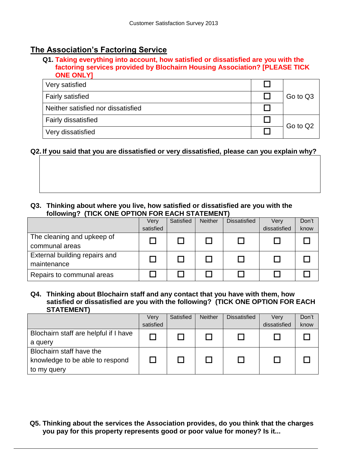## **The Association's Factoring Service**

#### **Q1. Taking everything into account, how satisfied or dissatisfied are you with the factoring services provided by Blochairn Housing Association? [PLEASE TICK ONE ONLY]**

| Very satisfied                     |          |
|------------------------------------|----------|
| <b>Fairly satisfied</b>            | Go to Q3 |
| Neither satisfied nor dissatisfied |          |
| <b>Fairly dissatisfied</b>         | Go to Q2 |
| Very dissatisfied                  |          |

#### **Q2. If you said that you are dissatisfied or very dissatisfied, please can you explain why?**

#### **Q3. Thinking about where you live, how satisfied or dissatisfied are you with the following? (TICK ONE OPTION FOR EACH STATEMENT)**

|                               | Very      | Satisfied | <b>Neither</b> | <b>Dissatisfied</b> | Verv         | Don't |
|-------------------------------|-----------|-----------|----------------|---------------------|--------------|-------|
|                               | satisfied |           |                |                     | dissatisfied | know  |
| The cleaning and upkeep of    |           |           |                |                     |              |       |
| communal areas                |           |           |                |                     |              |       |
| External building repairs and |           |           |                |                     |              |       |
| maintenance                   |           |           |                |                     |              |       |
| Repairs to communal areas     |           |           |                |                     |              |       |

#### **Q4. Thinking about Blochairn staff and any contact that you have with them, how satisfied or dissatisfied are you with the following? (TICK ONE OPTION FOR EACH STATEMENT)**

|                                       | Very      | Satisfied | <b>Neither</b> | <b>Dissatisfied</b> | Verv         | Don't |
|---------------------------------------|-----------|-----------|----------------|---------------------|--------------|-------|
|                                       | satisfied |           |                |                     | dissatisfied | know  |
| Blochairn staff are helpful if I have |           |           |                |                     |              |       |
| a query                               |           |           |                |                     |              |       |
| Blochairn staff have the              |           |           |                |                     |              |       |
| knowledge to be able to respond       |           |           |                |                     |              |       |
| to my query                           |           |           |                |                     |              |       |

## **Q5. Thinking about the services the Association provides, do you think that the charges you pay for this property represents good or poor value for money? Is it...**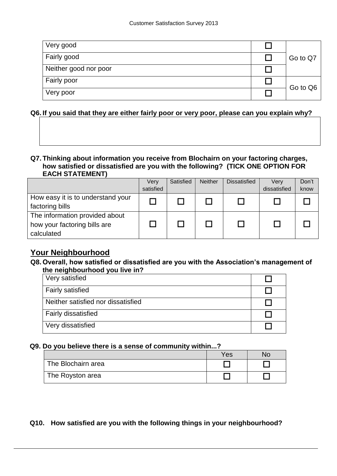| Very good             |          |
|-----------------------|----------|
| Fairly good           | Go to Q7 |
| Neither good nor poor |          |
| Fairly poor           | Go to Q6 |
| Very poor             |          |

#### **Q6. If you said that they are either fairly poor or very poor, please can you explain why?**

#### **Q7. Thinking about information you receive from Blochairn on your factoring charges, how satisfied or dissatisfied are you with the following? (TICK ONE OPTION FOR EACH STATEMENT)**

|                                   | Very      | Satisfied | <b>Neither</b> | <b>Dissatisfied</b> | Verv         | Don't |
|-----------------------------------|-----------|-----------|----------------|---------------------|--------------|-------|
|                                   | satisfied |           |                |                     | dissatisfied | know  |
| How easy it is to understand your |           |           |                |                     |              |       |
| factoring bills                   |           |           |                |                     |              |       |
| The information provided about    |           |           |                |                     |              |       |
| how your factoring bills are      |           |           |                |                     |              |       |
| calculated                        |           |           |                |                     |              |       |

## **Your Neighbourhood**

#### **Q8. Overall, how satisfied or dissatisfied are you with the Association's management of the neighbourhood you live in?**

| Very satisfied                     |  |
|------------------------------------|--|
| <b>Fairly satisfied</b>            |  |
| Neither satisfied nor dissatisfied |  |
| <b>Fairly dissatisfied</b>         |  |
| Very dissatisfied                  |  |

#### **Q9. Do you believe there is a sense of community within...?**

|                    | Yes |  |
|--------------------|-----|--|
| The Blochairn area |     |  |
| The Royston area   |     |  |

#### **Q10. How satisfied are you with the following things in your neighbourhood?**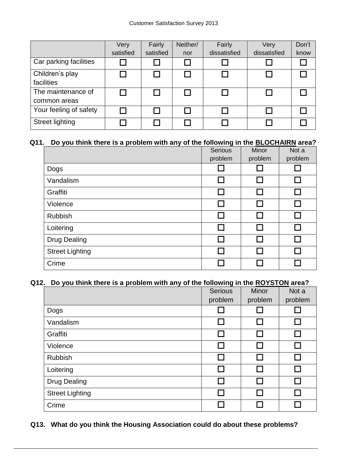|                        | Very      | Fairly    | Neither/ | Fairly       | Very         | Don't |
|------------------------|-----------|-----------|----------|--------------|--------------|-------|
|                        | satisfied | satisfied | nor      | dissatisfied | dissatisfied | know  |
| Car parking facilities |           |           |          |              |              |       |
| Children's play        |           |           |          |              |              |       |
| facilities             |           |           |          |              |              |       |
| The maintenance of     |           |           |          |              |              |       |
| common areas           |           |           |          |              |              |       |
| Your feeling of safety |           |           |          |              |              |       |
| <b>Street lighting</b> |           |           |          |              |              |       |

## **Q11. Do you think there is a problem with any of the following in the BLOCHAIRN area?**

|                        | <b>Serious</b> | <b>Minor</b> | Not a   |
|------------------------|----------------|--------------|---------|
|                        | problem        | problem      | problem |
| Dogs                   |                |              |         |
| Vandalism              | $\Box$         |              |         |
| Graffiti               | $\Box$         |              | П       |
| Violence               | <b>Talent</b>  |              |         |
| <b>Rubbish</b>         | $\mathcal{L}$  |              | J,      |
| Loitering              | П              |              |         |
| <b>Drug Dealing</b>    | $\mathsf{L}$   |              |         |
| <b>Street Lighting</b> | ┌┐             |              |         |
| Crime                  |                |              |         |

#### **Q12. Do you think there is a problem with any of the following in the ROYSTON area?**

|                        | Serious     | <b>Minor</b> | Not a          |
|------------------------|-------------|--------------|----------------|
|                        | problem     | problem      | problem        |
| Dogs                   |             |              |                |
| Vandalism              | $\Box$      |              | $\Box$         |
| Graffiti               |             |              | П              |
| Violence               | П           |              | П              |
| <b>Rubbish</b>         | <b>Tale</b> |              | <b>College</b> |
| Loitering              |             |              | <b>College</b> |
| <b>Drug Dealing</b>    |             |              |                |
| <b>Street Lighting</b> |             |              |                |
| Crime                  |             |              |                |

## **Q13. What do you think the Housing Association could do about these problems?**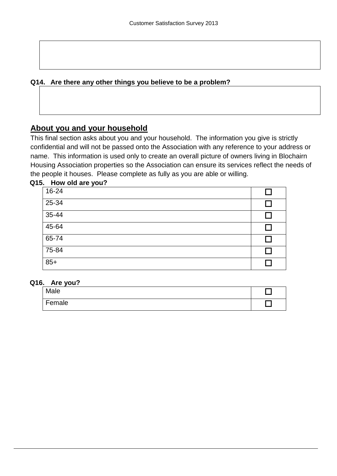# **Q14. Are there any other things you believe to be a problem?**

# **About you and your household**

This final section asks about you and your household. The information you give is strictly confidential and will not be passed onto the Association with any reference to your address or name. This information is used only to create an overall picture of owners living in Blochairn Housing Association properties so the Association can ensure its services reflect the needs of the people it houses. Please complete as fully as you are able or willing.

| Q15. How old are you? |  |
|-----------------------|--|
| 16-24                 |  |
| 25-34                 |  |
| 35-44                 |  |
| 45-64                 |  |
| 65-74                 |  |
| 75-84                 |  |
| $85+$                 |  |

#### **Q16. Are you?**

| Male   |  |
|--------|--|
| Female |  |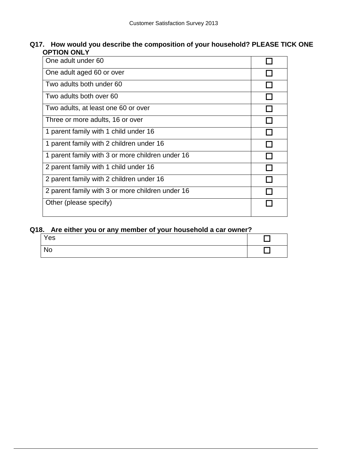#### **Q17. How would you describe the composition of your household? PLEASE TICK ONE OPTION ONLY**

| One adult under 60                               |  |
|--------------------------------------------------|--|
| One adult aged 60 or over                        |  |
| Two adults both under 60                         |  |
| Two adults both over 60                          |  |
| Two adults, at least one 60 or over              |  |
| Three or more adults, 16 or over                 |  |
| 1 parent family with 1 child under 16            |  |
| 1 parent family with 2 children under 16         |  |
| 1 parent family with 3 or more children under 16 |  |
| 2 parent family with 1 child under 16            |  |
| 2 parent family with 2 children under 16         |  |
| 2 parent family with 3 or more children under 16 |  |
| Other (please specify)                           |  |

### **Q18. Are either you or any member of your household a car owner?**

| Yes       |  |  |
|-----------|--|--|
| <b>No</b> |  |  |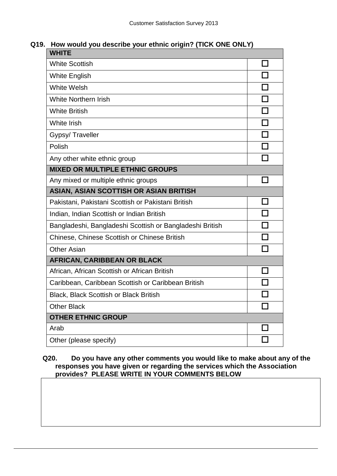# **Q19. How would you describe your ethnic origin? (TICK ONE ONLY)**

| <b>WHITE</b>                                             |   |  |
|----------------------------------------------------------|---|--|
| <b>White Scottish</b>                                    |   |  |
| <b>White English</b>                                     |   |  |
| <b>White Welsh</b>                                       | H |  |
| <b>White Northern Irish</b>                              |   |  |
| <b>White British</b>                                     |   |  |
| White Irish                                              | П |  |
| Gypsy/Traveller                                          |   |  |
| Polish                                                   |   |  |
| Any other white ethnic group                             |   |  |
| <b>MIXED OR MULTIPLE ETHNIC GROUPS</b>                   |   |  |
| Any mixed or multiple ethnic groups                      |   |  |
| ASIAN, ASIAN SCOTTISH OR ASIAN BRITISH                   |   |  |
| Pakistani, Pakistani Scottish or Pakistani British       |   |  |
| Indian, Indian Scottish or Indian British                |   |  |
| Bangladeshi, Bangladeshi Scottish or Bangladeshi British |   |  |
| <b>Chinese, Chinese Scottish or Chinese British</b>      |   |  |
| <b>Other Asian</b>                                       |   |  |
| <b>AFRICAN, CARIBBEAN OR BLACK</b>                       |   |  |
| African, African Scottish or African British             |   |  |
| Caribbean, Caribbean Scottish or Caribbean British       |   |  |
| <b>Black, Black Scottish or Black British</b>            |   |  |
| <b>Other Black</b>                                       |   |  |
| <b>OTHER ETHNIC GROUP</b>                                |   |  |
| Arab                                                     |   |  |
| Other (please specify)                                   |   |  |

#### **Q20. Do you have any other comments you would like to make about any of the responses you have given or regarding the services which the Association provides? PLEASE WRITE IN YOUR COMMENTS BELOW**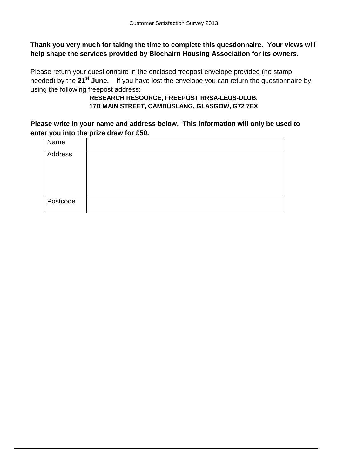#### **Thank you very much for taking the time to complete this questionnaire. Your views will help shape the services provided by Blochairn Housing Association for its owners.**

Please return your questionnaire in the enclosed freepost envelope provided (no stamp needed) by the **21st June.** If you have lost the envelope you can return the questionnaire by using the following freepost address:

#### **RESEARCH RESOURCE, FREEPOST RRSA-LEUS-ULUB, 17B MAIN STREET, CAMBUSLANG, GLASGOW, G72 7EX**

**Please write in your name and address below. This information will only be used to enter you into the prize draw for £50.**

| Name           |  |
|----------------|--|
| <b>Address</b> |  |
|                |  |
| Postcode       |  |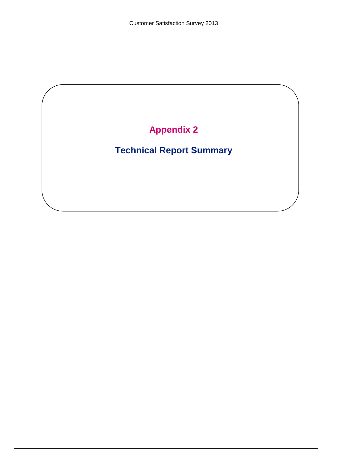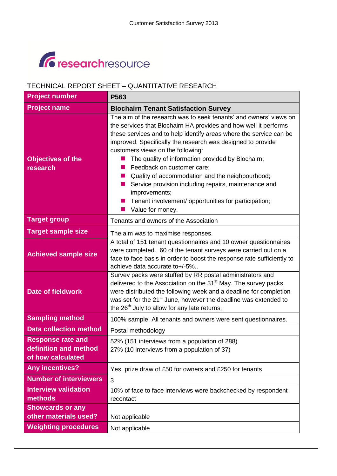# *<u>C* researchresource</u>

# TECHNICAL REPORT SHEET – QUANTITATIVE RESEARCH

| <b>Project number</b>                                                  | P563                                                                                                                                                                                                                                                                                                                                                                                                                                                                                                                                                                                                       |
|------------------------------------------------------------------------|------------------------------------------------------------------------------------------------------------------------------------------------------------------------------------------------------------------------------------------------------------------------------------------------------------------------------------------------------------------------------------------------------------------------------------------------------------------------------------------------------------------------------------------------------------------------------------------------------------|
| <b>Project name</b>                                                    | <b>Blochairn Tenant Satisfaction Survey</b>                                                                                                                                                                                                                                                                                                                                                                                                                                                                                                                                                                |
| <b>Objectives of the</b><br>research                                   | The aim of the research was to seek tenants' and owners' views on<br>the services that Blochairn HA provides and how well it performs<br>these services and to help identify areas where the service can be<br>improved. Specifically the research was designed to provide<br>customers views on the following:<br>The quality of information provided by Blochairn;<br>Feedback on customer care;<br>Quality of accommodation and the neighbourhood;<br>Service provision including repairs, maintenance and<br>improvements;<br>Tenant involvement/ opportunities for participation;<br>Value for money. |
| <b>Target group</b>                                                    | Tenants and owners of the Association                                                                                                                                                                                                                                                                                                                                                                                                                                                                                                                                                                      |
| <b>Target sample size</b>                                              | The aim was to maximise responses.                                                                                                                                                                                                                                                                                                                                                                                                                                                                                                                                                                         |
| <b>Achieved sample size</b>                                            | A total of 151 tenant questionnaires and 10 owner questionnaires<br>were completed. 60 of the tenant surveys were carried out on a<br>face to face basis in order to boost the response rate sufficiently to<br>achieve data accurate to+/-5%                                                                                                                                                                                                                                                                                                                                                              |
| <b>Date of fieldwork</b>                                               | Survey packs were stuffed by RR postal administrators and<br>delivered to the Association on the 31 <sup>st</sup> May. The survey packs<br>were distributed the following week and a deadline for completion<br>was set for the 21 <sup>st</sup> June, however the deadline was extended to<br>the 26 <sup>th</sup> July to allow for any late returns.                                                                                                                                                                                                                                                    |
| <b>Sampling method</b>                                                 | 100% sample. All tenants and owners were sent questionnaires.                                                                                                                                                                                                                                                                                                                                                                                                                                                                                                                                              |
| <b>Data collection method</b>                                          | Postal methodology                                                                                                                                                                                                                                                                                                                                                                                                                                                                                                                                                                                         |
| <b>Response rate and</b><br>definition and method<br>of how calculated | 52% (151 interviews from a population of 288)<br>27% (10 interviews from a population of 37)                                                                                                                                                                                                                                                                                                                                                                                                                                                                                                               |
| <b>Any incentives?</b>                                                 | Yes, prize draw of £50 for owners and £250 for tenants                                                                                                                                                                                                                                                                                                                                                                                                                                                                                                                                                     |
| <b>Number of interviewers</b>                                          | 3                                                                                                                                                                                                                                                                                                                                                                                                                                                                                                                                                                                                          |
| <b>Interview validation</b><br>methods                                 | 10% of face to face interviews were backchecked by respondent<br>recontact                                                                                                                                                                                                                                                                                                                                                                                                                                                                                                                                 |
| <b>Showcards or any</b><br>other materials used?                       | Not applicable                                                                                                                                                                                                                                                                                                                                                                                                                                                                                                                                                                                             |
| <b>Weighting procedures</b>                                            | Not applicable                                                                                                                                                                                                                                                                                                                                                                                                                                                                                                                                                                                             |